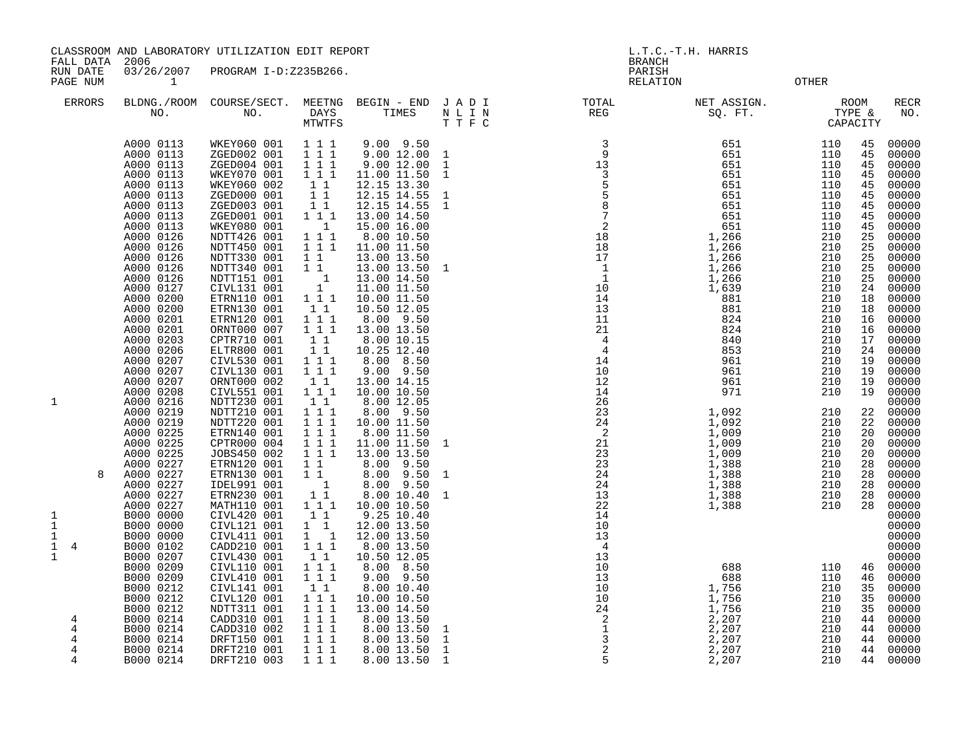FALL DATA 2006 BRANCH

RUN DATE 03/26/2007 PROGRAM I-D:Z235B266.<br>PAGE NUM 1 PAGE NUM 1 RELATION OTHER

|                    | <b>ERRORS</b> | BLDNG./ROOM<br>NO.                                                                                                | COURSE/SECT.<br>NO.                                                                                                                 | MEETNG<br>DAYS<br>MTWTFS                                                                                                                                       | BEGIN - END<br>TIMES                                                                                                                | JADI<br>$\hbox{N}$ L I $\hbox{N}$<br>T T F C                      | TOTAL<br>REG                                                                                                                                                                                                                                       | NET ASSIGN.<br>SQ. FT.                                                           | TYPE &                                                      | <b>ROOM</b><br>CAPACITY                            | <b>RECR</b><br>NO.                                                            |
|--------------------|---------------|-------------------------------------------------------------------------------------------------------------------|-------------------------------------------------------------------------------------------------------------------------------------|----------------------------------------------------------------------------------------------------------------------------------------------------------------|-------------------------------------------------------------------------------------------------------------------------------------|-------------------------------------------------------------------|----------------------------------------------------------------------------------------------------------------------------------------------------------------------------------------------------------------------------------------------------|----------------------------------------------------------------------------------|-------------------------------------------------------------|----------------------------------------------------|-------------------------------------------------------------------------------|
|                    |               | A000 0113<br>A000 0113<br>A000 0113<br>A000 0113<br>A000 0113<br>A000 0113<br>A000 0113<br>A000 0113<br>A000 0113 | WKEY060 001<br>ZGED002 001<br>ZGED004 001<br>WKEY070 001<br>WKEY060 002<br>ZGED000 001<br>ZGED003 001<br>ZGED001 001<br>WKEY080 001 | 1 1 1<br>1 1 1<br>111<br>1 1 1<br>1 1<br>$1\quad1$<br>$1\,$ $1\,$<br>111<br>$\overline{\phantom{0}}$ 1                                                         | $9.00$ $9.50$<br>9.00 12.00<br>9.00 12.00<br>11.00 11.50<br>12.15 13.30<br>12.15 14.55<br>12.15 14.55<br>13.00 14.50<br>15.00 16.00 | 1<br>$\mathbf{1}$<br>$\mathbf{1}$<br>$\mathbf{1}$<br>$\mathbf{1}$ | $\overline{\mathbf{3}}$<br>$\overline{9}$<br>$\begin{array}{r} 39 \\ 33 \\ 5 \\ 5 \\ 8 \\ 7 \\ 2 \\ 1 \\ 8 \\ 1 \\ 2 \\ 1 \\ 2 \\ 1 \\ 0 \\ 1 \\ 2 \\ 1 \\ 2 \\ 1 \\ 2 \\ 1 \\ 2 \\ 1 \\ 2 \\ 1 \\ 2 \\ 1 \\ 2 \\ 1 \\ 2 \\ 2 \\ 6 \\ \end{array}$ | 651<br>651<br>651<br>651<br>651<br>651<br>651<br>651<br>651                      | 110<br>110<br>110<br>110<br>110<br>110<br>110<br>110<br>110 | 45<br>45<br>45<br>45<br>45<br>45<br>45<br>45<br>45 | 00000<br>00000<br>00000<br>00000<br>00000<br>00000<br>00000<br>00000<br>00000 |
|                    |               | A000 0126<br>A000 0126<br>A000 0126<br>A000 0126<br>A000 0126<br>A000 0127<br>A000 0200<br>A000 0200              | NDTT426 001<br>NDTT450 001<br>NDTT330 001<br>NDTT340 001<br>NDTT151 001<br>CIVL131 001<br>ETRN110 001                               | $1\hspace{0.1cm} 1\hspace{0.1cm} 1$<br>$\overline{1}$ $\overline{1}$ $\overline{1}$<br>11<br>11<br>$\overline{\phantom{0}}$ 1<br>$\overline{1}$<br>1 1 1<br>11 | 8.00 10.50<br>11.00 11.50<br>13.00 13.50<br>13.00 13.50<br>13.00 14.50<br>11.00 11.50<br>10.00 11.50                                | $\mathbf{1}$                                                      |                                                                                                                                                                                                                                                    | 1,266<br>$\overline{1,266}$<br>1,266<br>1,266<br>1,266<br>1,639<br>881<br>881    | 210<br>210<br>210<br>210<br>210<br>210<br>210<br>210        | 25<br>25<br>25<br>25<br>25<br>24<br>18<br>18       | 00000<br>00000<br>00000<br>00000<br>00000<br>00000<br>00000<br>00000          |
|                    |               | A000 0201<br>A000 0201<br>A000 0203<br>A000 0206<br>A000 0207<br>A000 0207<br>A000 0207                           | ETRN130 001<br>ETRN120 001<br>ORNT000 007<br>CPTR710 001<br>ELTR800 001<br>CIVL530 001<br>CIVL130 001<br>ORNT000 002                | $1\ 1\ 1$<br>111<br>$\begin{smallmatrix}1&1\\1&1\end{smallmatrix}$<br>111<br>111<br>1 1                                                                        | 10.50 12.05<br>8.00 9.50<br>13.00 13.50<br>8.00 10.15<br>10.25 12.40<br>8.00 8.50<br>9.00 9.50<br>13.00 14.15                       |                                                                   |                                                                                                                                                                                                                                                    | 824<br>824<br>840<br>853<br>961<br>961<br>961                                    | 210<br>210<br>210<br>210<br>210<br>210<br>210               | 16<br>16<br>17<br>24<br>19<br>19<br>19             | 00000<br>00000<br>00000<br>00000<br>00000<br>00000<br>00000                   |
| 1                  |               | A000 0208<br>A000 0216<br>A000 0219<br>A000 0219<br>A000 0225<br>A000 0225<br>A000 0225                           | CIVL551 001<br>NDTT230 001<br>NDTT210 001<br>NDTT220 001<br>ETRN140 001<br>CPTR000 004<br>JOBS450 002                               | 1 1 1<br>11<br>$1\ 1\ 1$<br>$1 1 1$<br>111<br>111<br>1 1 1                                                                                                     | 10.00 10.50<br>8.00 12.05<br>8.00 9.50<br>10.00 11.50<br>8.00 11.50<br>11.00 11.50<br>13.00 13.50                                   | 1                                                                 | 14<br>26<br>23                                                                                                                                                                                                                                     | 971<br>1,092<br>$\frac{1}{1}$ , 092<br>1, 009<br>1,009<br>1,009                  | 210<br>210<br>210<br>210<br>210<br>210                      | 19<br>22<br>22<br>20<br>20<br>20                   | 00000<br>00000<br>00000<br>00000<br>00000<br>00000<br>00000                   |
| 1<br>$1\,$         | 8             | A000 0227<br>A000 0227<br>A000 0227<br>A000 0227<br>A000 0227<br>B000 0000<br>B000 0000                           | ETRN120 001<br>ETRN130 001<br>IDEL991 001<br>ETRN230 001<br>MATH110 001<br>CIVL420 001<br>CIVL121 001                               | 11<br>11<br>$\overline{\phantom{0}}$<br>11<br>$1 \quad 1 \quad 1$<br>11<br>$1\quad1$                                                                           | 8.00 9.50<br>$8.00$ 9.50<br>8.00 9.50<br>8.00 10.40<br>10.00 10.50<br>9.25 10.40<br>12.00 13.50                                     | $\mathbf{1}$<br>1                                                 | $233$<br>$24$<br>$21$<br>$23$<br>$23$<br>$24$<br>$24$<br>$13$<br>$22$<br>$14$<br>14<br>10                                                                                                                                                          | 1,388<br>1,388<br>1,388<br>1,388<br>1,388                                        | 210<br>210<br>210<br>210<br>210                             | 28<br>28<br>28<br>28<br>28                         | 00000<br>00000<br>00000<br>00000<br>00000<br>00000<br>00000                   |
| 1<br>$\frac{1}{1}$ | 4             | B000 0000<br>B000 0102<br>B000 0207<br>B000 0209<br>B000 0209<br>B000 0212<br>B000 0212                           | CIVL411 001<br>CADD210 001<br>CIVL430 001<br>CIVL110 001<br>CIVL410 001<br>CIVL141 001<br>CIVL120 001                               | $1 \quad 1$<br>1 1 1<br>$\begin{smallmatrix}1&1\\1&1&1\end{smallmatrix}$<br>111<br>11<br>$1\ 1\ 1$                                                             | 12.00 13.50<br>8.00 13.50<br>10.50 12.05<br>8.00 8.50<br>$9.00$ $9.50$<br>8.00 10.40<br>10.00 10.50                                 |                                                                   | 13<br>$\overline{4}$<br>13<br>10<br>13<br>10<br>10                                                                                                                                                                                                 | 688<br>688<br>1,756<br>1,756                                                     | 110<br>110<br>210<br>210                                    | 46<br>46<br>35<br>35                               | 00000<br>00000<br>00000<br>00000<br>00000<br>00000<br>00000                   |
|                    | 4<br>4<br>4   | B000 0212<br>B000 0214<br>B000 0214<br>B000 0214<br>B000 0214<br>B000 0214                                        | NDTT311 001<br>CADD310 001<br>CADD310 002<br>DRFT150 001<br>DRFT210 001<br>DRFT210 003                                              | 1 1 1<br>$1 \quad 1 \quad 1$<br>111<br>1 1 1<br>111<br>1 1 1                                                                                                   | 13.00 14.50<br>8.00 13.50<br>8.00 13.50<br>8.00 13.50<br>8.00 13.50<br>8.00 13.50                                                   | 1<br>$\mathbf{1}$<br>$\mathbf{1}$<br><sup>1</sup>                 | $\frac{1}{24}$<br>$\frac{1}{3}$<br>$\frac{3}{2}$<br>5                                                                                                                                                                                              | $\overline{1}$ , 756<br>2,207<br>$\frac{2}{2}$ , 207<br>2, 207<br>2,207<br>2,207 | 210<br>210<br>210<br>210<br>210<br>210                      | 35<br>44<br>44<br>44<br>44<br>44                   | 00000<br>00000<br>00000<br>00000<br>00000<br>00000                            |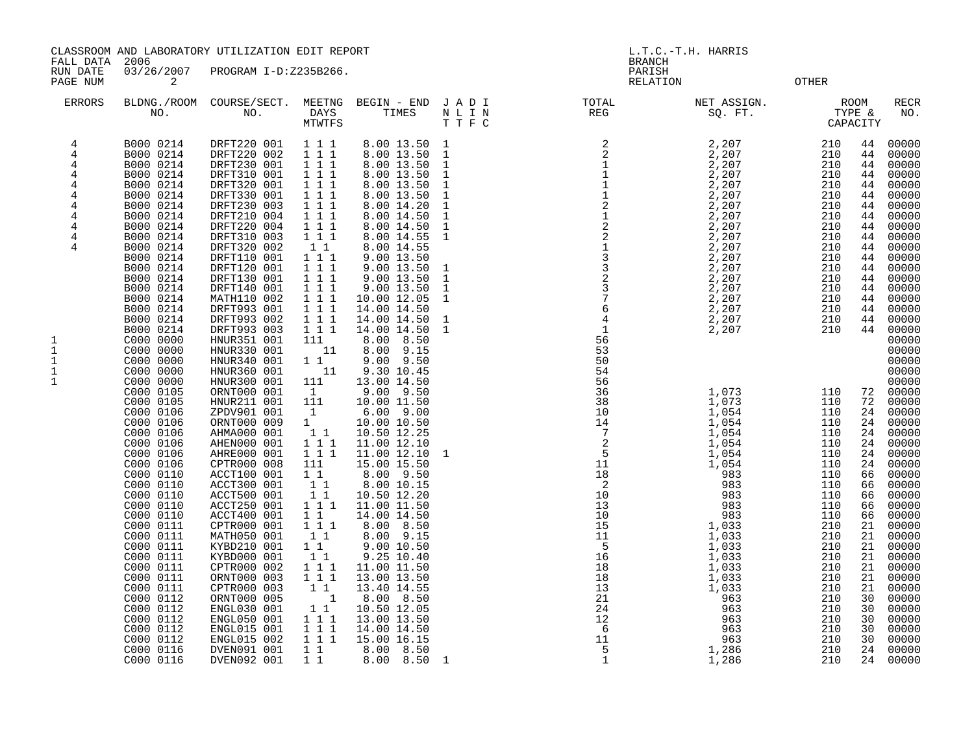FALL DATA 2006 BRANCH

RUN DATE 03/26/2007 PROGRAM I-D:Z235B266.<br>PAGENUM 2

**PAGE 12 RELATION 2 RELATION CONTROL** 

| <b>ERRORS</b>  | BLDNG./ROOM<br>NO.                  | COURSE/SECT.<br>NO.                       | MEETNG<br>DAYS<br>MTWTFS            | BEGIN - END<br>TIMES                         | JADI<br>$\hbox{N}$ L I $\hbox{N}$<br>TTFC | TOTAL<br>REG                                                                                                                                                                              | NET ASSIGN.<br>SQ. FT.  | TYPE &<br>CAPACITY | ROOM           | <b>RECR</b><br>NO.      |
|----------------|-------------------------------------|-------------------------------------------|-------------------------------------|----------------------------------------------|-------------------------------------------|-------------------------------------------------------------------------------------------------------------------------------------------------------------------------------------------|-------------------------|--------------------|----------------|-------------------------|
| 4<br>4<br>4    | B000 0214<br>B000 0214<br>B000 0214 | DRFT220 001<br>DRFT220 002<br>DRFT230 001 | 111<br>1 1 1<br>1 1 1               | 8.00 13.50 1<br>8.00 13.50 1<br>8.00 13.50 1 |                                           |                                                                                                                                                                                           | 2,207<br>2,207<br>2,207 | 210<br>210<br>210  | 44<br>44<br>44 | 00000<br>00000<br>00000 |
| 4              | B000 0214                           | DRFT310 001                               | 1 1 1                               | 8.00 13.50                                   | 1                                         |                                                                                                                                                                                           | 2,207                   | 210                | 44             | 00000                   |
| 4              | B000 0214                           | DRFT320 001                               | 111                                 | 8.00 13.50                                   | 1                                         |                                                                                                                                                                                           | 2,207                   | 210                | 44             | 00000                   |
| 4<br>4         | B000 0214<br>B000 0214              | DRFT330 001<br>DRFT230 003                | 1 1 1<br>1 1 1                      | 8.00 13.50<br>8.00 14.20                     | $\mathbf{1}$<br>1                         |                                                                                                                                                                                           | 2,207<br>2,207          | 210<br>210         | 44<br>44       | 00000<br>00000          |
| 4              | B000 0214                           | DRFT210 004                               | 111                                 | 8.00 14.50                                   | $\mathbf{1}$                              |                                                                                                                                                                                           | 2,207                   | 210                | 44             | 00000                   |
| 4              | B000 0214<br>B000 0214              | DRFT220 004<br>DRFT310 003                | 1 1 1<br>111                        | 8.00 14.50<br>8.00 14.55                     | $\mathbf{1}$<br><sup>1</sup>              |                                                                                                                                                                                           | 2,207<br>2,207          | 210<br>210         | 44<br>44       | 00000<br>00000          |
| 4<br>4         | B000 0214                           | DRFT320 002                               | 11                                  | 8.00 14.55                                   |                                           |                                                                                                                                                                                           | 2,207                   | 210                | 44             | 00000                   |
|                | B000 0214                           | DRFT110 001                               | 1 1 1                               | 9.00 13.50                                   |                                           |                                                                                                                                                                                           | 2,207                   | 210                | 44             | 00000                   |
|                | B000 0214                           | DRFT120 001                               | 111<br>1 1 1                        | 9.00 13.50 1                                 | $\mathbf{1}$                              |                                                                                                                                                                                           | 2,207<br>2,207          | 210<br>210         | 44<br>44       | 00000<br>00000          |
|                | B000 0214<br>B000 0214              | DRFT130 001<br>DRFT140 001                | 1 1 1                               | $9.00$ 13.50<br>9.00 13.50                   | -1                                        |                                                                                                                                                                                           | 2,207                   | 210                | 44             | 00000                   |
|                | B000 0214                           | MATH110 002                               | 111                                 | 10.00 12.05                                  | 1                                         |                                                                                                                                                                                           | 2,207                   | 210                | 44             | 00000                   |
|                | B000 0214                           | DRFT993 001                               | 1 1 1                               | 14.00 14.50                                  |                                           |                                                                                                                                                                                           | 2,207                   | 210                | 44             | 00000                   |
|                | B000 0214<br>B000 0214              | DRFT993 002<br>DRFT993 003                | 111<br>1 1 1                        | 14.00 14.50<br>14.00 14.50                   | $\mathbf{1}$<br>-1                        |                                                                                                                                                                                           | 2,207<br>2,207          | 210<br>210         | 44<br>44       | 00000<br>00000          |
| 1              | C000 0000                           | HNUR351 001                               | 111                                 | 8.00 8.50                                    |                                           |                                                                                                                                                                                           |                         |                    |                | 00000                   |
| $\mathbf 1$    | C000 0000<br>C000 0000              | HNUR330 001                               | 11                                  | 8.00 9.15                                    |                                           | 53<br>50                                                                                                                                                                                  |                         |                    |                | 00000<br>00000          |
| $1\,$<br>$1\,$ | C000 0000                           | HNUR340 001<br>HNUR360 001                | $1\quad1$<br>11                     | $9.00$ $9.50$<br>9.30 10.45                  |                                           | 54                                                                                                                                                                                        |                         |                    |                | 00000                   |
| $\mathbf 1$    | C000 0000                           | HNUR300 001                               | 111                                 | 13.00 14.50                                  |                                           |                                                                                                                                                                                           |                         |                    |                | 00000                   |
|                | C000 0105                           | ORNT000 001<br>HNUR211 001                | $\mathbf{1}$                        | 9.00 9.50                                    |                                           |                                                                                                                                                                                           | 1,073<br>1,073          | 110                | 72             | 00000                   |
|                | C000 0105<br>C000 0106              | ZPDV901 001                               | 111<br>$\mathbf{1}$                 | 10.00 11.50<br>$6.00$ $9.00$                 |                                           |                                                                                                                                                                                           | 1,054                   | 110<br>110         | 72<br>24       | 00000<br>00000          |
|                | C000 0106                           | ORNT000 009                               | 1                                   | 10.00 10.50                                  |                                           |                                                                                                                                                                                           | 1,054                   | 110                | 24             | 00000                   |
|                | C000 0106                           | AHMA000 001                               | 11                                  | 10.50 12.25                                  |                                           |                                                                                                                                                                                           | 1,054                   | 110                | 24             | 00000                   |
|                | C000 0106<br>C000 0106              | AHEN000 001<br>AHRE000 001                | 111<br>1 1 1                        | 11.00 12.10<br>11.00 12.10                   | 1                                         |                                                                                                                                                                                           | 1,054<br>1,054          | 110<br>110         | 24<br>24       | 00000<br>00000          |
|                | C000 0106                           | CPTR000 008                               | 111                                 | 15.00 15.50                                  |                                           |                                                                                                                                                                                           | 1,054                   | 110                | 24             | 00000                   |
|                | C000 0110                           | ACCT100 001                               | $1\quad1$                           | 8.00 9.50                                    |                                           |                                                                                                                                                                                           | 983                     | 110                | 66             | 00000                   |
|                | C000 0110<br>C000 0110              | ACCT300 001<br>ACCT500 001                | 11<br>$1\quad1$                     | 8.00 10.15<br>10.50 12.20                    |                                           |                                                                                                                                                                                           | 983<br>983              | 110<br>110         | 66<br>66       | 00000<br>00000          |
|                | C000 0110                           | ACCT250 001                               | $1\hspace{0.1cm} 1\hspace{0.1cm} 1$ | 11.00 11.50                                  |                                           |                                                                                                                                                                                           | 983                     | 110                | 66             | 00000                   |
|                | C000 0110                           | ACCT400 001                               | $1\quad1$                           | 14.00 14.50                                  |                                           |                                                                                                                                                                                           | 983                     | 110                | 66             | 00000                   |
|                | C000 0111<br>C000 0111              | CPTR000 001<br>MATH050 001                | 1 1 1<br>1 1                        | 8.00 8.50<br>8.00 9.15                       |                                           |                                                                                                                                                                                           | 1,033<br>1,033          | 210<br>210         | 21<br>21       | 00000<br>00000          |
|                | C000 0111                           | KYBD210 001                               | $1\quad1$                           | 9.00 10.50                                   |                                           |                                                                                                                                                                                           | 1,033                   | 210                | 21             | 00000                   |
|                | C000 0111                           | KYBD000 001                               | 1 1                                 | 9.25 10.40                                   |                                           |                                                                                                                                                                                           | 1,033                   | 210                | 21             | 00000                   |
|                | C000 0111<br>C000 0111              | CPTR000 002<br>ORNT000 003                | 111<br>1 1 1                        | 11.00 11.50<br>13.00 13.50                   |                                           |                                                                                                                                                                                           | 1,033<br>1,033          | 210<br>210         | 21<br>21       | 00000<br>00000          |
|                | C000 0111                           | CPTR000 003                               | $1\quad1$                           | 13.40 14.55                                  |                                           |                                                                                                                                                                                           | 1,033                   | 210                | 21             | 00000                   |
|                | C000 0112                           | ORNT000 005                               | $\overline{1}$                      | 8.00 8.50                                    |                                           |                                                                                                                                                                                           | 963                     | 210                | 30             | 00000                   |
|                | C000 0112<br>C000 0112              | ENGL030 001<br>ENGL050 001                | $1\quad1$<br>111                    | 10.50 12.05<br>13.00 13.50                   |                                           | 56<br>38<br>10<br>14<br>7<br>2<br>5<br>11<br>18<br>2<br>10<br>11<br>5<br>16<br>18<br>18<br>11<br>5<br>16<br>12<br>2<br>12<br>2<br>12<br>12<br>1<br>15<br>16<br>16<br>1<br>1<br>1<br>1<br> | 963<br>963              | 210<br>210         | 30<br>30       | 00000<br>00000          |
|                | C000 0112                           | ENGL015 001                               | 1 1 1                               | 14.00 14.50                                  |                                           |                                                                                                                                                                                           | 963                     | 210                | 30             | 00000                   |
|                | C000 0112                           | ENGL015 002                               | 111                                 | 15.00 16.15                                  |                                           |                                                                                                                                                                                           | 963                     | 210                | 30             | 00000                   |
|                | C000 0116<br>C000 0116              | DVEN091 001<br>DVEN092 001                | $1\quad1$<br>1 1                    | 8.00 8.50<br>8.00 8.50 1                     |                                           | 5<br>$\mathbf{1}$                                                                                                                                                                         | 1,286<br>1,286          | 210<br>210         | 24<br>24       | 00000<br>00000          |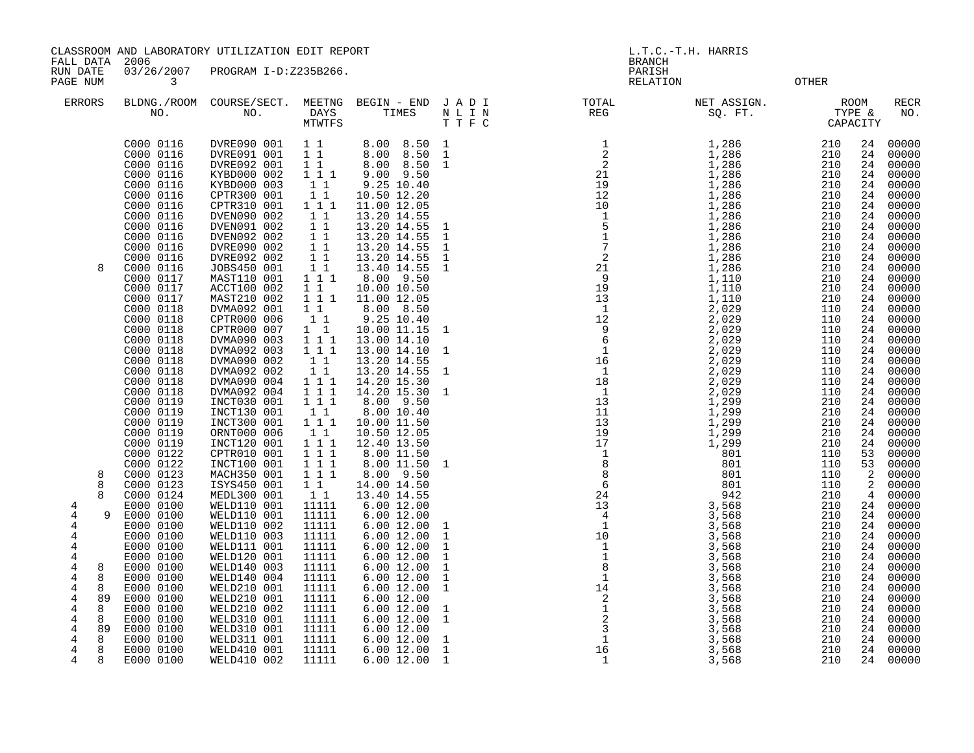FALL DATA 2006 BRANCH

RUN DATE 03/26/2007 PROGRAM I-D:Z235B266. PARISH PAGE NUM 3 CONTROL CONTROL CONTROL CONTROL CONTROL CONTROL CONTROL CONTROL CONTROL CONTROL CONTROL CONTROL CONTROL CONTROL CONTROL CONTROL CONTROL CONTROL CONTROL CONTROL CONTROL CONTROL CONTROL CONTROL CONTROL CONTROL CON

| ERRORS       | NO.                    | BLDNG./ROOM COURSE/SECT.<br>NO. | MEETNG<br>DAYS<br><b>MTWTFS</b> | BEGIN - END<br>TIMES       | JADI<br>N L I N<br>T T F C | TOTAL<br>REG                                                                                | NET ASSIGN.<br>SQ. FT. | TYPE &<br>CAPACITY | ROOM     | <b>RECR</b><br>NO. |
|--------------|------------------------|---------------------------------|---------------------------------|----------------------------|----------------------------|---------------------------------------------------------------------------------------------|------------------------|--------------------|----------|--------------------|
|              | C000 0116              | DVRE090 001                     | 1 1                             | 8.00 8.50                  | 1                          | $\begin{array}{c} 1\\ 2\\ 2\\ 1\\ 19\\ 12\\ 10\\ 1\\ 0\\ 1\\ 7\\ 2\\ 2\\ 1\\ 9 \end{array}$ | 1,286                  | 210                | 24       | 00000              |
|              | C000 0116              | DVRE091 001                     | $1\quad1$                       | 8.00 8.50                  | $\mathbf{1}$               |                                                                                             | 1,286                  | 210                | 24       | 00000              |
|              | C000 0116              | DVRE092 001                     | $1\quad1$                       | 8.00 8.50                  | $\mathbf{1}$               |                                                                                             | 1,286                  | 210                | 24       | 00000              |
|              | C000 0116              | KYBD000 002                     | 1 1 1                           | $9.00$ $9.50$              |                            |                                                                                             | 1,286                  | 210                | 24       | 00000              |
|              | C000 0116              | KYBD000 003                     | 1 1                             | 9.25 10.40                 |                            |                                                                                             | 1,286                  | 210                | 24       | 00000              |
|              | C000 0116              | CPTR300 001                     | $1\quad1$                       | 10.50 12.20                |                            |                                                                                             | 1,286<br>1,286         | 210                | 24       | 00000              |
|              | C000 0116<br>C000 0116 | CPTR310 001<br>DVEN090 002      | 1 1 1                           | 11.00 12.05                |                            |                                                                                             |                        | 210                | 24<br>24 | 00000              |
|              | C000 0116              | DVEN091 002                     | 1 1<br>$1\quad1$                | 13.20 14.55<br>13.20 14.55 | $\overline{1}$             |                                                                                             | 1,286<br>1,286         | 210<br>210         | 24       | 00000<br>00000     |
|              | C000 0116              | DVEN092 002                     | $1\quad1$                       | 13.20 14.55                | 1                          |                                                                                             | 1,286                  | 210                | 24       | 00000              |
|              | C000 0116              | DVRE090 002                     | $1\quad1$                       | 13.20 14.55                | $\mathbf{1}$               |                                                                                             | 1,286                  | 210                | 24       | 00000              |
|              | C000 0116              | DVRE092 002                     | 1 1                             | 13.20 14.55                | $\mathbf{1}$               |                                                                                             | 1,286                  | 210                | 24       | 00000              |
| 8            | C000 0116              | JOBS450 001                     | $1\quad1$                       | 13.40 14.55                | $\mathbf{1}$               |                                                                                             | 1,286                  | 210                | 24       | 00000              |
|              | C000 0117              | MAST110 001                     | 1 1 1                           | 8.00 9.50                  |                            |                                                                                             | 1,110                  | 210                | 24       | 00000              |
|              | C000 0117              | ACCT100 002                     | $1\quad1$                       | 10.00 10.50                |                            |                                                                                             | 1,110                  | 210                | 24       | 00000              |
|              | C000 0117              | MAST210 002                     | 111                             | 11.00 12.05                |                            |                                                                                             | 1,110                  | 210                | 24       | 00000              |
|              | C000 0118              | DVMA092 001                     | 1 1                             | 8.00 8.50                  |                            |                                                                                             | 2,029                  | 110                | 24       | 00000              |
|              | C000 0118              | CPTR000 006                     | 1 1                             | 9.25 10.40                 |                            |                                                                                             | 2,029                  | 110                | 24       | 00000              |
|              | C000 0118              | CPTR000 007                     | $1\quad1$                       | 10.00 11.15                | $\mathbf{1}$               |                                                                                             | 2,029                  | 110                | 24       | 00000              |
|              | C000 0118              | DVMA090 003                     | 1 1 1                           | 13.00 14.10                |                            |                                                                                             | 2,029                  | 110                | 24       | 00000              |
|              | C000 0118              | DVMA092 003                     | 111                             | 13.00 14.10                | -1                         |                                                                                             | 2,029                  | 110                | 24       | 00000              |
|              | C000 0118              | DVMA090 002                     | 11                              | 13.20 14.55                |                            |                                                                                             | 2,029                  | 110                | 24       | 00000              |
|              | C000 0118              | DVMA092 002                     | 11                              | 13.20 14.55                | 1                          |                                                                                             | 2,029                  | 110                | 24       | 00000              |
|              | C000 0118<br>C000 0118 | DVMA090 004                     | $1 1 1$                         | 14.20 15.30<br>14.20 15.30 |                            | $\begin{array}{c} 2\overline{5} \\ 9 \\ 19 \\ 13 \\ 12 \\ 9 \\ 6 \\ 1 \\ 1 \\ \end{array}$  | 2,029                  | 110                | 24       | 00000              |
|              | C000 0119              | DVMA092 004<br>INCT030 001      | 1 1 1<br>1 1 1                  | 8.00 9.50                  | 1                          |                                                                                             | 2,029<br>1,299         | 110<br>210         | 24<br>24 | 00000<br>00000     |
|              | C000 0119              | INCT130 001                     | 1 1                             | 8.00 10.40                 |                            |                                                                                             | 1,299                  | 210                | 24       | 00000              |
|              | C000 0119              | INCT300 001                     | 1 1 1                           | 10.00 11.50                |                            |                                                                                             | 1,299                  | 210                | 24       | 00000              |
|              | C000 0119              | ORNT000 006                     | 11                              | 10.50 12.05                |                            |                                                                                             | 1,299                  | 210                | 24       | 00000              |
|              | C000 0119              | INCT120 001                     | 1 1 1                           | 12.40 13.50                |                            |                                                                                             | 1,299                  | 210                | 24       | 00000              |
|              | C000 0122              | CPTR010 001                     | 111                             | 8.00 11.50                 |                            |                                                                                             | 801                    | 110                | 53       | 00000              |
|              | C000 0122              | INCT100 001                     | 1 1 1                           | 8.00 11.50                 | <sup>1</sup>               |                                                                                             | 801                    | 110                | 53       | 00000              |
| 8            | C000 0123              | MACH350 001                     | 111                             | 8.00 9.50                  |                            |                                                                                             | 801                    | 110                | 2        | 00000              |
| 8            | C000 0123              | ISYS450 001                     | $1\quad1$                       | 14.00 14.50                |                            |                                                                                             | 801                    | 110                | 2        | 00000              |
| $\mathsf{R}$ | C000 0124              | MEDL300 001                     | 11                              | 13.40 14.55                |                            |                                                                                             | 942                    | 210                | 4        | 00000              |
| 4            | E000 0100              | WELD110 001                     | 11111                           | 6.00 12.00                 |                            |                                                                                             | 3,568                  | 210                | 24       | 00000              |
| 4            | E000 0100              | WELD110 001                     | 11111                           | 6.00 12.00                 |                            | $\begin{bmatrix} 1 \\ 8 \\ 8 \\ 6 \\ 13 \\ 4 \\ 13 \\ 4 \\ 10 \\ 10 \\ 1 \end{bmatrix}$     | 3,568                  | 210                | 24       | 00000              |
| 4            | E000 0100              | WELD110 002                     | 11111                           | 6.0012.00                  | 1                          |                                                                                             | 3,568                  | 210                | 24       | 00000              |
| 4            | E000 0100              | WELD110 003                     | 11111                           | 6.0012.00                  | $\mathbf{1}$               |                                                                                             | 3,568                  | 210                | 24       | 00000              |
| 4<br>4       | E000 0100<br>E000 0100 | WELD111 001<br>WELD120 001      | 11111<br>11111                  | 6.0012.00<br>6.00 12.00    | $\mathbf{1}$<br>1          | $\overline{1}$<br>$\mathbf{1}$                                                              | 3,568<br>3,568         | 210<br>210         | 24<br>24 | 00000<br>00000     |
| 4<br>8       | E000 0100              | WELD140 003                     | 11111                           | 6.0012.00                  | $\mathbf 1$                | 8                                                                                           | 3,568                  | 210                | 24       | 00000              |
| 4<br>8       | E000 0100              | WELD140 004                     | 11111                           | 6.0012.00                  | $\mathbf{1}$               | $\overline{\phantom{a}}$                                                                    | 3,568                  | 210                | 24       | 00000              |
| 8<br>4       | E000 0100              | WELD210 001                     | 11111                           | 6.0012.00                  | $\mathbf{1}$               | $\begin{array}{c} 1 \\ 14 \end{array}$                                                      | 3,568                  | 210                | 24       | 00000              |
| 4<br>89      | E000 0100              | WELD210 001                     | 11111                           | 6.00 12.00                 |                            |                                                                                             | 3,568                  | 210                | 24       | 00000              |
| 8<br>4       | E000 0100              | WELD210 002                     | 11111                           | 6.0012.00                  | 1                          | $\frac{1}{2}$<br>$\frac{1}{2}$<br>$\frac{1}{3}$                                             | 3,568                  | 210                | 24       | 00000              |
| 4<br>8       | E000 0100              | WELD310 001                     | 11111                           | $6.00$ 12.00               | $\mathbf{1}$               |                                                                                             | 3,568                  | 210                | 24       | 00000              |
| 4<br>89      | E000 0100              | WELD310 001                     | 11111                           | 6.00 12.00                 |                            |                                                                                             | 3,568                  | 210                | 24       | 00000              |
| 8<br>4       | E000 0100              | WELD311 001                     | 11111                           | 6.00 12.00                 | 1                          | <sup>1</sup>                                                                                | 3,568                  | 210                | 24       | 00000              |
| 4<br>8       | E000 0100              | <b>WELD410 001</b>              | 11111                           | 6.0012.00                  | $\mathbf{1}$               | 16                                                                                          | 3,568                  | 210                | 24       | 00000              |
| 4<br>8       | E000 0100              | WELD410 002                     | 11111                           | 6.00 12.00                 | $\overline{1}$             | $\mathbf{1}$                                                                                | 3,568                  | 210                | 24       | 00000              |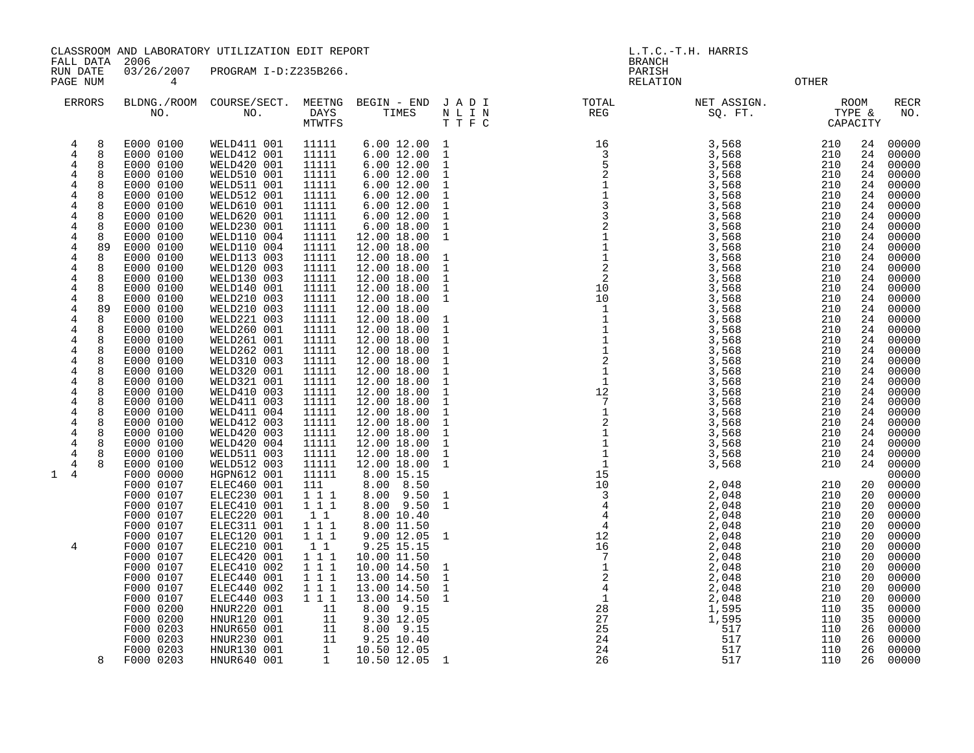FALL DATA 2006 BRANCH RUN DATE 03/26/2007 PROGRAM I-D:Z235B266. PARISH

PAGE NUM 4 RELATION OTHER

| <b>ERRORS</b>                                                                                                                                                                                              | NO.                                                                                                                                                                                                                                                                                                                                                                                                                                                                                                                                                                                                                                                                                                                                                                                                                                              | BLDNG./ROOM COURSE/SECT.<br>NO.                                                                                                                                                                                                                                                                                                                                                                                                                                                                                                                                                                                                                                                                                                                                                           | MEETNG<br>DAYS<br><b>MTWTFS</b>                                                                                                                                                                                                                                                                                                                                                                                                                                                                          | BEGIN - END<br>TIMES                                                                                                                                                                                                                                                                                                                                                                                                                                                                                                                                                                                                                                                                                                                                           | JADI<br>N L I N<br>T T F C                                                                                                                                                                                                                                                                                                                                                                                                                                                                                                                                  | TOTAL<br>REG                                                                                                                                                                                                                          | NET ASSIGN.<br>SQ. FT.                                                                                                                                                                                                                                                                                                                                                                                                                                 | TYPE &<br>CAPACITY                                                                                                                                                                                                                                                                                                                                         | ROOM                                                                                                                                                                                                                                                                                                     | <b>RECR</b><br>NO.                                                                                                                                                                                                                                                                                                                                                                                                                                                      |
|------------------------------------------------------------------------------------------------------------------------------------------------------------------------------------------------------------|--------------------------------------------------------------------------------------------------------------------------------------------------------------------------------------------------------------------------------------------------------------------------------------------------------------------------------------------------------------------------------------------------------------------------------------------------------------------------------------------------------------------------------------------------------------------------------------------------------------------------------------------------------------------------------------------------------------------------------------------------------------------------------------------------------------------------------------------------|-------------------------------------------------------------------------------------------------------------------------------------------------------------------------------------------------------------------------------------------------------------------------------------------------------------------------------------------------------------------------------------------------------------------------------------------------------------------------------------------------------------------------------------------------------------------------------------------------------------------------------------------------------------------------------------------------------------------------------------------------------------------------------------------|----------------------------------------------------------------------------------------------------------------------------------------------------------------------------------------------------------------------------------------------------------------------------------------------------------------------------------------------------------------------------------------------------------------------------------------------------------------------------------------------------------|----------------------------------------------------------------------------------------------------------------------------------------------------------------------------------------------------------------------------------------------------------------------------------------------------------------------------------------------------------------------------------------------------------------------------------------------------------------------------------------------------------------------------------------------------------------------------------------------------------------------------------------------------------------------------------------------------------------------------------------------------------------|-------------------------------------------------------------------------------------------------------------------------------------------------------------------------------------------------------------------------------------------------------------------------------------------------------------------------------------------------------------------------------------------------------------------------------------------------------------------------------------------------------------------------------------------------------------|---------------------------------------------------------------------------------------------------------------------------------------------------------------------------------------------------------------------------------------|--------------------------------------------------------------------------------------------------------------------------------------------------------------------------------------------------------------------------------------------------------------------------------------------------------------------------------------------------------------------------------------------------------------------------------------------------------|------------------------------------------------------------------------------------------------------------------------------------------------------------------------------------------------------------------------------------------------------------------------------------------------------------------------------------------------------------|----------------------------------------------------------------------------------------------------------------------------------------------------------------------------------------------------------------------------------------------------------------------------------------------------------|-------------------------------------------------------------------------------------------------------------------------------------------------------------------------------------------------------------------------------------------------------------------------------------------------------------------------------------------------------------------------------------------------------------------------------------------------------------------------|
| 4<br>4<br>4<br>4<br>4<br>4<br>4<br>$\overline{4}$<br>4<br>4<br>4<br>4<br>4<br>4<br>4<br>4<br>4<br>4<br>4<br>4<br>4<br>4<br>4<br>4<br>4<br>4<br>4<br>$\overline{4}$<br>4<br>4<br>4<br>4<br>$1 \quad 4$<br>4 | E000 0100<br>8<br>8<br>E000 0100<br>E000 0100<br>8<br>8<br>E000 0100<br>8<br>E000 0100<br>E000 0100<br>8<br>E000 0100<br>8<br>8<br>E000 0100<br>E000 0100<br>8<br>E000 0100<br>8<br>89<br>E000 0100<br>E000 0100<br>8<br>E000 0100<br>8<br>8<br>E000 0100<br>E000 0100<br>8<br>E000 0100<br>8<br>89<br>E000 0100<br>E000 0100<br>8<br>8<br>E000 0100<br>8<br>E000 0100<br>8<br>E000 0100<br>8<br>E000 0100<br>E000 0100<br>8<br>8<br>E000 0100<br>8<br>E000 0100<br>E000 0100<br>8<br>8<br>E000 0100<br>E000 0100<br>8<br>8<br>E000 0100<br>E000 0100<br>8<br>E000 0100<br>E000 0100<br>F000 0000<br>F000 0107<br>F000 0107<br>F000 0107<br>F000 0107<br>F000 0107<br>F000 0107<br>F000 0107<br>F000 0107<br>F000 0107<br>F000 0107<br>F000 0107<br>F000 0107<br>F000 0200<br>F000 0200<br>F000 0203<br>F000 0203<br>F000 0203<br>F000 0203<br>8 | WELD411 001<br>WELD412 001<br>WELD420 001<br>WELD510 001<br>WELD511 001<br>WELD512 001<br>WELD610 001<br>WELD620 001<br>WELD230 001<br>WELD110 004<br>WELD110 004<br>WELD113 003<br>WELD120 003<br>WELD130 003<br>WELD140 001<br>WELD210 003<br>WELD210 003<br>WELD221 003<br>WELD260 001<br>WELD261 001<br>WELD262 001<br>WELD310 003<br>WELD320 001<br>WELD321 001<br>WELD410 003<br>WELD411 003<br>WELD411 004<br>WELD412 003<br>WELD420 003<br>WELD420 004<br>WELD511 003<br>WELD512 003<br>HGPN612 001<br>ELEC460 001<br>ELEC230 001<br>ELEC410 001<br>ELEC220 001<br>ELEC311 001<br>ELEC120 001<br>ELEC210 001<br>ELEC420 001<br>ELEC410 002<br>ELEC440 001<br>ELEC440 002<br>ELEC440 003<br>HNUR220 001<br>HNUR120 001<br>HNUR650 001<br>HNUR230 001<br>HNUR130 001<br>HNUR640 001 | 11111<br>11111<br>11111<br>11111<br>11111<br>11111<br>11111<br>11111<br>11111<br>11111<br>11111<br>11111<br>11111<br>11111<br>11111<br>11111<br>11111<br>11111<br>11111<br>11111<br>11111<br>11111<br>11111<br>11111<br>11111<br>11111<br>11111<br>11111<br>11111<br>11111<br>11111<br>11111<br>11111<br>111<br>$1 1 1$<br>$1 1 1$<br>1 1<br>111<br>111<br>11<br>111<br>1 1 1<br>1 1 1<br>1 1 1<br>111<br>11<br>11<br>$\begin{array}{cc} \mathbf{1} & \mathbf{1} \\ \mathbf{1} & \mathbf{1} \end{array}$ | 6.00 12.00<br>6.00 12.00<br>6.00 12.00<br>6.00 12.00<br>6.0012.00<br>6.0012.00<br>6.00 12.00<br>6.0012.00<br>6.00 18.00<br>12.00 18.00<br>12.00 18.00<br>12.00 18.00<br>12.00 18.00<br>12.00 18.00<br>12.00 18.00<br>12.00 18.00<br>12.00 18.00<br>12.00 18.00<br>12.00 18.00<br>12.00 18.00<br>12.00 18.00<br>12.00 18.00<br>12.00 18.00<br>12.00 18.00<br>12.00 18.00<br>12.00 18.00<br>12.00 18.00<br>12.00 18.00<br>12.00 18.00<br>12.00 18.00<br>12.00 18.00<br>12.00 18.00<br>8.00 15.15<br>8.00 8.50<br>8.00 9.50<br>8.00 9.50<br>8.00 10.40<br>8.00 11.50<br>9.00 12.05<br>9.25 15.15<br>10.00 11.50<br>10.00 14.50<br>13.00 14.50<br>13.00 14.50<br>13.00 14.50<br>8.00 9.15<br>9.30 12.05<br>8.00 9.15<br>9.25 10.40<br>10.50 12.05<br>10.50 12.05 1 | 1<br>$\mathbf{1}$<br>$\mathbf{1}$<br>$\mathbf{1}$<br>$\mathbf{1}$<br>$\mathbf{1}$<br>$\mathbf{1}$<br>$\mathbf{1}$<br>$\mathbf{1}$<br>$\mathbf 1$<br>$\mathbf 1$<br>$\mathbf{1}$<br>1<br>$\mathbf{1}$<br>$\mathbf{1}$<br>$\mathbf 1$<br>$\mathbf{1}$<br>$\mathbf{1}$<br>1<br>$\mathbf{1}$<br>$\mathbf{1}$<br>$\mathbf{1}$<br>$\mathbf{1}$<br>$\mathbf{1}$<br>$\mathbf 1$<br>$\mathbf{1}$<br>$\mathbf{1}$<br>$\mathbf{1}$<br>$\mathbf{1}$<br>1<br>$\mathbf{1}$<br>$\mathbf{1}$<br>$\mathbf{1}$<br>$\mathbf{1}$<br>$\mathbf{1}$<br>$\mathbf 1$<br>$\mathbf{1}$ | 10<br>$\begin{array}{c} 1 \\ 12 \\ 7 \\ 2 \\ 1 \\ 1 \\ 1 \\ 1 \\ 1 \\ \end{array}$<br>15<br>$\begin{array}{r} 15 \\ 10 \\ 3 \\ 4 \\ 4 \\ 12 \\ 16 \\ 7 \\ 1 \\ 2 \\ 4 \\ 1 \\ 2 \\ 8 \\ 27 \end{array}$<br>27<br>25<br>24<br>24<br>26 | 3,568<br>3,568<br>3,568<br>3,568<br>3,568<br>3,568<br>3,568<br>3,568<br>3,568<br>3,568<br>3,568<br>3,568<br>3,568<br>3,568<br>3,568<br>3,568<br>3,568<br>3,568<br>3,568<br>3,568<br>3,568<br>3,568<br>3,568<br>3,568<br>3,568<br>3,568<br>3,568<br>3,568<br>3,568<br>3,568<br>3,568<br>3,568<br>2,048<br>2,048<br>2,048<br>2,048<br>2,048<br>2,048<br>2,048<br>2,048<br>2,048<br>2,048<br>2,048<br>2,048<br>1,595<br>1,595<br>517<br>517<br>517<br>517 | 210<br>210<br>210<br>210<br>210<br>210<br>210<br>210<br>210<br>210<br>210<br>210<br>210<br>210<br>210<br>210<br>210<br>210<br>210<br>210<br>210<br>210<br>210<br>210<br>210<br>210<br>210<br>210<br>210<br>210<br>210<br>210<br>210<br>210<br>210<br>210<br>210<br>210<br>210<br>210<br>210<br>210<br>210<br>210<br>110<br>110<br>110<br>110<br>110<br>110 | 24<br>24<br>24<br>24<br>24<br>24<br>24<br>24<br>24<br>24<br>24<br>24<br>24<br>24<br>24<br>24<br>24<br>24<br>24<br>24<br>24<br>24<br>24<br>24<br>24<br>24<br>24<br>24<br>24<br>24<br>24<br>24<br>20<br>20<br>20<br>20<br>20<br>20<br>20<br>20<br>20<br>20<br>20<br>20<br>35<br>35<br>26<br>26<br>26<br>26 | 00000<br>00000<br>00000<br>00000<br>00000<br>00000<br>00000<br>00000<br>00000<br>00000<br>00000<br>00000<br>00000<br>00000<br>00000<br>00000<br>00000<br>00000<br>00000<br>00000<br>00000<br>00000<br>00000<br>00000<br>00000<br>00000<br>00000<br>00000<br>00000<br>00000<br>00000<br>00000<br>00000<br>00000<br>00000<br>00000<br>00000<br>00000<br>00000<br>00000<br>00000<br>00000<br>00000<br>00000<br>00000<br>00000<br>00000<br>00000<br>00000<br>00000<br>00000 |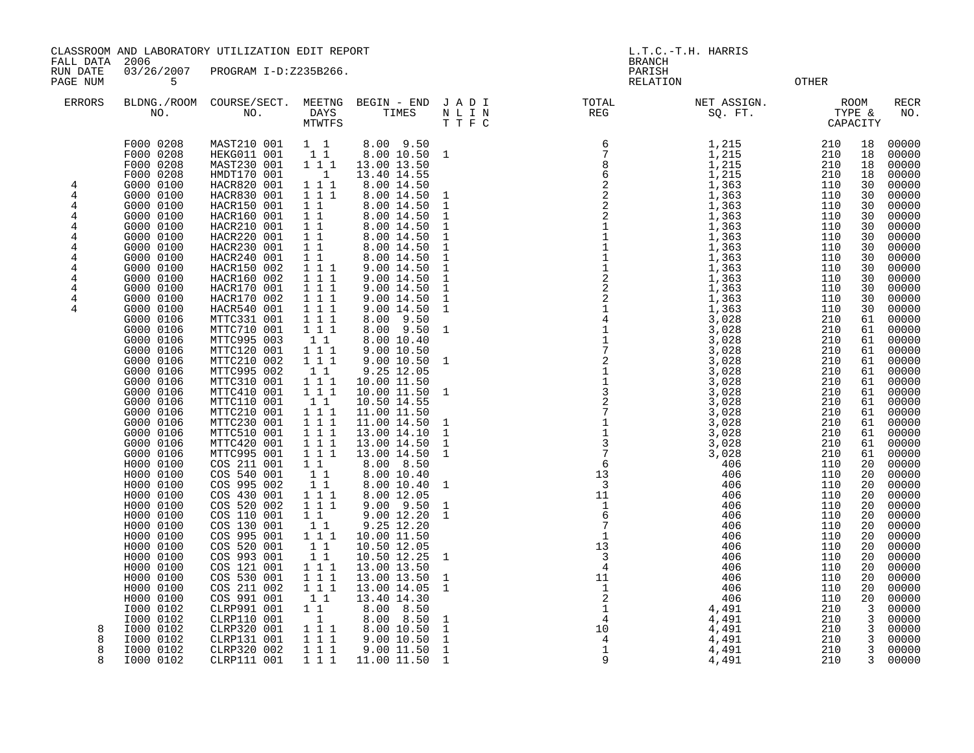FALL DATA 2006 BRANCH

 RUN DATE 03/26/2007 PROGRAM I-D:Z235B266. PARISH PAGE NUM 5 RELATION OTHER

| <b>ERRORS</b>                                                 | NO.                                                                                                                                                                                                                                                                                                                                                                                                                                                                                                                                                                         | BLDNG./ROOM COURSE/SECT.<br>NO.                                                                                                                                                                                                                                                                                                                                                                                                                                                                                                                                                                                                                                   | DAYS<br>MTWTFS                                                                                                                                                                                                                                                                                                                                                                                          | MEETNG BEGIN - END JADI<br>TIMES                                                                                                                                                                                                                                                                                                                                                                                                                                                                                                                                                                                                          | N L I N<br>TTFC                                                                                                                                                                                                                    | TOTAL<br>REG                                                                                                                                                                   | NET ASSIGN.<br>SQ. FT.<br>SQ. FT.                                                                                                                                                                                                                                                                                                                                                | ROOM<br>TYPE &<br>CAPACITY                                                                                                                                                                                                                                                                                | <b>RECR</b><br>NO.                                                                                                                                                                                                                                                                                                                                                                                                                                                                                                                                                                                                                                                |
|---------------------------------------------------------------|-----------------------------------------------------------------------------------------------------------------------------------------------------------------------------------------------------------------------------------------------------------------------------------------------------------------------------------------------------------------------------------------------------------------------------------------------------------------------------------------------------------------------------------------------------------------------------|-------------------------------------------------------------------------------------------------------------------------------------------------------------------------------------------------------------------------------------------------------------------------------------------------------------------------------------------------------------------------------------------------------------------------------------------------------------------------------------------------------------------------------------------------------------------------------------------------------------------------------------------------------------------|---------------------------------------------------------------------------------------------------------------------------------------------------------------------------------------------------------------------------------------------------------------------------------------------------------------------------------------------------------------------------------------------------------|-------------------------------------------------------------------------------------------------------------------------------------------------------------------------------------------------------------------------------------------------------------------------------------------------------------------------------------------------------------------------------------------------------------------------------------------------------------------------------------------------------------------------------------------------------------------------------------------------------------------------------------------|------------------------------------------------------------------------------------------------------------------------------------------------------------------------------------------------------------------------------------|--------------------------------------------------------------------------------------------------------------------------------------------------------------------------------|----------------------------------------------------------------------------------------------------------------------------------------------------------------------------------------------------------------------------------------------------------------------------------------------------------------------------------------------------------------------------------|-----------------------------------------------------------------------------------------------------------------------------------------------------------------------------------------------------------------------------------------------------------------------------------------------------------|-------------------------------------------------------------------------------------------------------------------------------------------------------------------------------------------------------------------------------------------------------------------------------------------------------------------------------------------------------------------------------------------------------------------------------------------------------------------------------------------------------------------------------------------------------------------------------------------------------------------------------------------------------------------|
| 4<br>4<br>4<br>4<br>4<br>4<br>4<br>4<br>4<br>4<br>4<br>4<br>4 | F000 0208<br>F000 0208<br>F000 0208<br>F000 0208<br>G000 0100<br>G000 0100<br>G000 0100<br>G000 0100<br>G000 0100<br>G000 0100<br>G000 0100<br>G000 0100<br>G000 0100<br>G000 0100<br>G000 0100<br>G000 0100<br>G000 0100<br>G000 0106<br>G000 0106<br>G000 0106<br>G000 0106<br>G000 0106<br>G000 0106<br>G000 0106<br>G000 0106<br>G000 0106<br>G000 0106<br>G000 0106<br>G000 0106<br>G000 0106<br>G000 0106<br>H000 0100<br>H000 0100<br>H000 0100<br>H000 0100<br>H000 0100<br>H000 0100<br>H000 0100<br>H000 0100<br>H000 0100<br>H000 0100<br>H000 0100<br>H000 0100 | MAST210 001<br>HEKG011 001<br>MAST230 001<br>HMDT170 001<br>HACR820 001<br>HACR830 001<br>HACR150 001<br>HACR160 001<br>HACR210 001<br>HACR220 001<br>HACR230 001<br>HACR240 001<br>HACR150 002<br>HACR160 002<br>HACR170 001<br>HACR170 002<br>HACR540 001<br>MTTC331 001<br>MTTC710 001<br>MTTC995 003<br>MTTC120 001<br>MTTC210 002<br>MTTC995 002<br>MTTC310 001<br>MTTC410 001<br>MTTC110 001<br>MTTC210 001<br>MTTC230 001<br>MTTC510 001<br>MTTC420 001<br>MTTC995 001<br>COS 211 001<br>COS 540 001<br>COS 995 002<br>COS 430 001<br>COS 520 002<br>COS 110 001<br>COS 130 001<br>COS 995 001<br>COS 520 001<br>COS 993 001<br>COS 121 001<br>COS 530 001 | $1\quad1$<br>11<br>111<br>$\overline{\phantom{0}}$<br>1 1 1<br>111<br>$1\quad1$<br>$1\quad1$<br>$1\quad1$<br>$1\quad1$<br>$1\quad1$<br>$1\quad1$<br>111<br>1 1 1<br>1 1 1<br>111<br>1 1 1<br>1 1 1<br>111<br>11<br>1 1 1<br>111<br>1 1<br>1 1 1<br>111<br>1 1<br>1 1 1<br>111<br>1 1 1<br>111<br>111<br>1 1<br>1 1<br>$1\quad1$<br>1 1 1<br>111<br>$1\quad1$<br>11<br>111<br>1 1<br>1 1<br>1 1 1<br>111 | 8.00 9.50<br>8.00 10.50<br>13.00 13.50<br>13.40 14.55<br>8.00 14.50<br>8.00 14.50<br>8.00 14.50<br>8.00 14.50<br>8.00 14.50<br>8.00 14.50<br>8.00 14.50<br>8.00 14.50<br>9.00 14.50<br>9.00 14.50<br>9.00 14.50<br>9.00 14.50<br>9.00 14.50<br>$8.00$ $9.50$<br>8.00 9.50<br>8.00 10.40<br>9.00 10.50<br>9.00 10.50<br>9.25 12.05<br>10.00 11.50<br>10.00 11.50 1<br>10.50 14.55<br>11.00 11.50<br>11.00 14.50<br>13.00 14.10<br>13.00 14.50<br>13.00 14.50<br>8.00 8.50<br>8.00 10.40<br>8.00 10.40<br>8.00 12.05<br>$9.00$ $9.50$<br>9.0012.20<br>9.25 12.20<br>10.00 11.50<br>10.50 12.05<br>10.50 12.25<br>13.00 13.50<br>13.00 13.50 | $\mathbf{1}$<br>1<br>$\mathbf{1}$<br>$\mathbf{1}$<br>1<br>$\mathbf{1}$<br>1<br>1<br>$\mathbf{1}$<br>1<br>1<br>$\mathbf{1}$<br>$\mathbf{1}$<br><sup>1</sup><br><sup>1</sup><br>1<br>1<br>$\mathbf{1}$<br>1<br>1<br>1<br>1<br>1<br>1 | 13<br>$\overline{\mathbf{3}}$<br>$\begin{array}{c} 11 \\ 1 \\ 6 \\ 7 \end{array}$<br>$\overline{7}$<br>$\begin{array}{c} 7 \\ 1 \\ 13 \\ 3 \\ 4 \end{array}$<br>$\overline{4}$ | 1,215<br>1,215<br>1,215<br>1,215<br>1,215<br>1,363<br>1,363<br>1,363<br>1,363<br>1,363<br>1,363<br>1,363<br>1,363<br>1,363<br>1,363<br>1,363<br>1,363<br>1,363<br>3,028<br>3,028<br>3,028<br>3,028<br>3,028<br>3,028<br>3,028<br>3,028<br>3,028<br>3,028<br>3,028<br>3,028<br>3,028<br>3,028<br>406<br>406<br>406<br>406<br>406<br>406<br>406<br>406<br>406<br>406<br>406<br>406 | 210<br>210<br>210<br>210<br>110<br>110<br>110<br>110<br>110<br>110<br>110<br>110<br>110<br>110<br>110<br>110<br>110<br>210<br>210<br>210<br>210<br>210<br>210<br>210<br>210<br>210<br>210<br>210<br>210<br>210<br>210<br>110<br>110<br>110<br>110<br>110<br>110<br>110<br>110<br>110<br>110<br>110<br>110 | 00000<br>18<br>18<br>00000<br>00000<br>18<br>00000<br>18<br>30<br>00000<br>00000<br>30<br>00000<br>30<br>30<br>00000<br>00000<br>30<br>30<br>00000<br>00000<br>30<br>00000<br>30<br>30<br>00000<br>00000<br>30<br>00000<br>30<br>00000<br>30<br>30<br>00000<br>00000<br>61<br>00000<br>61<br>00000<br>61<br>00000<br>61<br>00000<br>61<br>00000<br>61<br>00000<br>61<br>00000<br>61<br>00000<br>61<br>00000<br>61<br>00000<br>61<br>00000<br>61<br>00000<br>61<br>00000<br>61<br>20<br>00000<br>00000<br>20<br>00000<br>20<br>00000<br>20<br>00000<br>20<br>00000<br>20<br>00000<br>20<br>00000<br>20<br>20<br>00000<br>20<br>00000<br>00000<br>20<br>20<br>00000 |
|                                                               | H000 0100<br>H000 0100<br>I000 0102<br>I000 0102<br>I000 0102                                                                                                                                                                                                                                                                                                                                                                                                                                                                                                               | COS 211 002<br>COS 991 001<br>CLRP991 001<br>CLRP110 001<br>CLRP320 001                                                                                                                                                                                                                                                                                                                                                                                                                                                                                                                                                                                           | 1 1 1<br>11<br>$1\quad1$<br>$\overline{1}$<br>111                                                                                                                                                                                                                                                                                                                                                       | 13.00 14.05<br>13.40 14.30<br>8.00 8.50<br>8.50<br>8.00<br>8.00 10.50                                                                                                                                                                                                                                                                                                                                                                                                                                                                                                                                                                     | 1<br>$\mathbf{1}$<br>$\mathbf{1}$                                                                                                                                                                                                  | $\begin{array}{c} 4 \\ 11 \\ 1 \\ 2 \\ 1 \\ 4 \\ 10 \\ 4 \\ 1 \\ 9 \end{array}$                                                                                                | 406<br>406<br>4,491<br>4,491<br>4,491                                                                                                                                                                                                                                                                                                                                            | 110<br>110<br>210<br>210<br>210                                                                                                                                                                                                                                                                           | 20<br>00000<br>00000<br>20<br>3<br>00000<br>3<br>00000<br>00000<br>3                                                                                                                                                                                                                                                                                                                                                                                                                                                                                                                                                                                              |
| 8<br>R                                                        | I000 0102<br>I000 0102<br>I000 0102                                                                                                                                                                                                                                                                                                                                                                                                                                                                                                                                         | CLRP131 001<br>CLRP320 002<br>CLRP111 001                                                                                                                                                                                                                                                                                                                                                                                                                                                                                                                                                                                                                         | 1 1 1<br>111<br>1 1 1                                                                                                                                                                                                                                                                                                                                                                                   | 9.00 10.50<br>9.00 11.50<br>11.00 11.50                                                                                                                                                                                                                                                                                                                                                                                                                                                                                                                                                                                                   | $\mathbf{1}$<br>1<br><sup>1</sup>                                                                                                                                                                                                  |                                                                                                                                                                                | 4,491<br>4,491<br>4,491                                                                                                                                                                                                                                                                                                                                                          | 210<br>210<br>210                                                                                                                                                                                                                                                                                         | 3<br>00000<br>00000<br>3<br>00000<br>$\mathbf{3}$                                                                                                                                                                                                                                                                                                                                                                                                                                                                                                                                                                                                                 |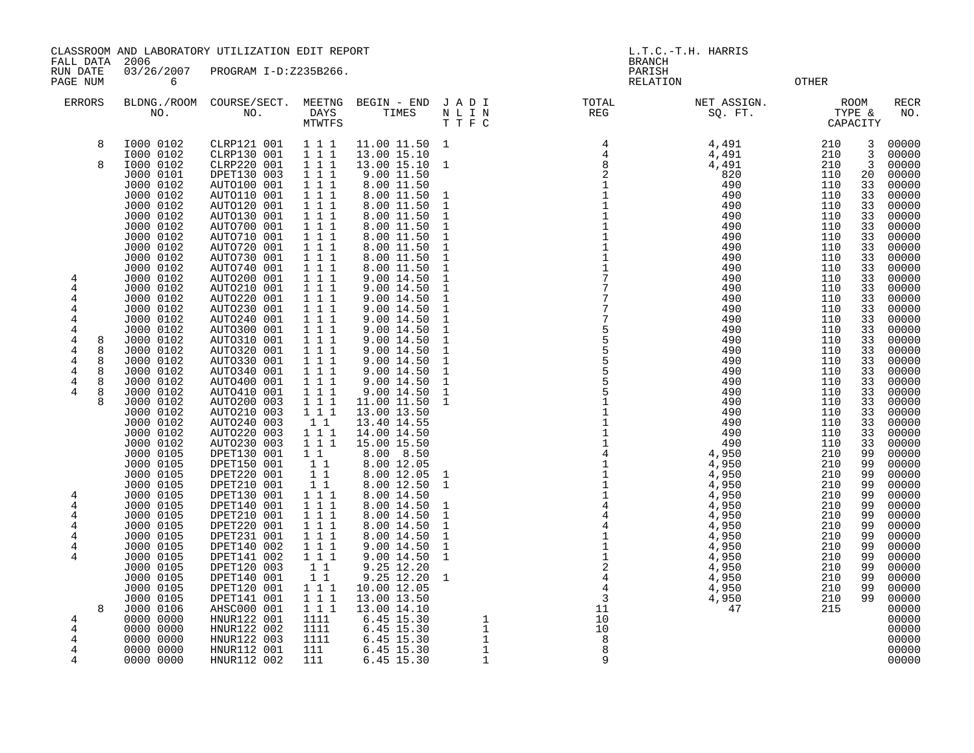CLASSROOM AND LABORATORY UTILIZATION EDIT REPORT AND REVORT AND RESOLUTION OF L.T.C.-T.H. HARRIS

FALL DATA 2006 BRANCH

RUN DATE 03/26/2007 PROGRAM I-D:Z235B266. PARISH PAGE NUM 6 6 CONSULTER CONTROL CONTROL CONTROL CONTROL CONTROL CONTROL CONTROL CONTROL CONTROL CONTROL CONTROL

| <b>ERRORS</b> |                   | BLDNG./ROOM<br>NO.                  | COURSE/SECT.<br>NO.                       | MEETNG<br>DAYS<br>MTWTFS                                            | BEGIN - END<br>TIMES                      | JADI<br>N L I N<br>T T F C    | TOTAL<br><b>REG</b>                                                                                                                                                                                                                                                                                                                  | NET ASSIGN.<br>SQ. FT.  |                   | <b>ROOM</b><br>TYPE &<br>CAPACITY | <b>RECR</b><br>NO.      |
|---------------|-------------------|-------------------------------------|-------------------------------------------|---------------------------------------------------------------------|-------------------------------------------|-------------------------------|--------------------------------------------------------------------------------------------------------------------------------------------------------------------------------------------------------------------------------------------------------------------------------------------------------------------------------------|-------------------------|-------------------|-----------------------------------|-------------------------|
|               | 8<br>$\mathsf{R}$ | I000 0102<br>I000 0102<br>I000 0102 | CLRP121 001<br>CLRP130 001<br>CLRP220 001 | 1 1 1<br>$1 \quad 1 \quad 1$<br>$1 \quad 1 \quad 1$                 | 11.00 11.50<br>13.00 15.10<br>13.00 15.10 | $\mathbf{1}$<br>-1            | $\begin{array}{cccccccc} 4 & 4 & 8 & 1 \\ 2 & 2 & 1 & 1 \\ 1 & 1 & 1 & 1 \\ 1 & 1 & 1 & 1 \\ 1 & 1 & 1 & 1 \\ 1 & 1 & 1 & 1 \\ 1 & 1 & 1 & 1 \\ 1 & 1 & 1 & 1 \\ 1 & 1 & 1 & 1 \\ 1 & 1 & 1 & 1 \\ 1 & 1 & 1 & 1 \\ 1 & 1 & 1 & 1 \\ 1 & 1 & 1 & 1 \\ 1 & 1 & 1 & 1 \\ 1 & 1 & 1 & 1 \\ 1 & 1 & 1 & 1 \\ 1 & 1 & 1 & 1 \\ 1 & 1 & 1$ | 4,491<br>4,491<br>4,491 | 210<br>210<br>210 | 3<br>3<br>3                       | 00000<br>00000<br>00000 |
|               |                   | J000 0101<br>J000 0102<br>J000 0102 | DPET130 003<br>AUTO100 001<br>AUTO110 001 | $1 1 1$<br>$\begin{array}{ccc} 1&1&1\\ 1&1&1 \end{array}$           | 9.00 11.50<br>8.00 11.50<br>8.00 11.50    | 1                             |                                                                                                                                                                                                                                                                                                                                      | 820<br>490<br>490       | 110<br>110<br>110 | 20<br>33<br>33                    | 00000<br>00000<br>00000 |
|               |                   | J000 0102<br>J000 0102              | AUTO120 001<br>AUTO130 001                | $1 \quad 1 \quad 1$                                                 | 8.00 11.50<br>8.00 11.50                  | $\mathbf{1}$<br>$\mathbf{1}$  |                                                                                                                                                                                                                                                                                                                                      | 490<br>490              | 110<br>110        | 33<br>33                          | 00000<br>00000          |
|               |                   | J000 0102                           | AUTO700 001                               | $\begin{array}{ccc} 1&1&1\\ 1&1&1 \end{array}$<br>111               | 8.00 11.50                                | $\mathbf{1}$<br>$\mathbf{1}$  |                                                                                                                                                                                                                                                                                                                                      | 490<br>490              | 110<br>110        | 33<br>33                          | 00000<br>00000          |
|               |                   | J000 0102<br>J000 0102              | AUTO710 001<br>AUTO720 001                | $1 \quad 1 \quad 1$<br>$1 \quad 1 \quad 1$                          | 8.00 11.50<br>8.00 11.50                  | $\mathbf{1}$                  |                                                                                                                                                                                                                                                                                                                                      | 490                     | 110               | 33                                | 00000                   |
|               |                   | J000 0102<br>J000 0102              | AUTO730 001<br>AUTO740 001                | 111                                                                 | 8.00 11.50<br>8.00 11.50                  | $1\,$<br>$\mathbf{1}$         |                                                                                                                                                                                                                                                                                                                                      | 490<br>490              | 110<br>110        | 33<br>33                          | 00000<br>00000          |
|               |                   | J000 0102<br>J000 0102              | AUTO200 001<br>AUTO210 001                | $1 1 1$<br>$\begin{array}{ccc} 1 & 1 & 1 \end{array}$               | 9.00 14.50<br>9.00 14.50                  | $\mathbf 1$<br>$\mathbf 1$    |                                                                                                                                                                                                                                                                                                                                      | 490<br>490              | 110<br>110        | 33<br>33                          | 00000<br>00000          |
| 4<br>4        |                   | J000 0102<br>J000 0102              | AUTO220 001<br>AUTO230 001                | $1 1 1$<br>111                                                      | 9.00 14.50<br>9.00 14.50                  | $\mathbf{1}$<br>$\mathbf{1}$  |                                                                                                                                                                                                                                                                                                                                      | 490<br>490              | 110<br>110        | 33<br>33                          | 00000<br>00000          |
| 4             |                   | J000 0102<br>J000 0102              | AUTO240 001<br>AUTO300 001                | $\begin{array}{ccc} 1 & 1 & 1 \end{array}$<br>111                   | 9.00 14.50<br>9.00 14.50                  | $\mathbf{1}$<br>$\mathbf{1}$  |                                                                                                                                                                                                                                                                                                                                      | 490<br>490              | 110<br>110        | 33<br>33                          | 00000<br>00000          |
|               | 8<br>8            | J000 0102<br>J000 0102              | AUTO310 001<br>AUTO320 001                | $1 \quad 1 \quad 1$<br>$\overline{1}$ $\overline{1}$ $\overline{1}$ | 9.00 14.50<br>9.00 14.50                  | $\mathbf{1}$<br>$\mathbf{1}$  |                                                                                                                                                                                                                                                                                                                                      | 490<br>490              | 110<br>110        | 33<br>33                          | 00000<br>00000          |
| 4             | 8<br>8            | J000 0102<br>J000 0102              | AUTO330 001<br>AUTO340 001                | 111<br>111                                                          | 9.00 14.50<br>9.00 14.50                  | $\mathbf{1}$<br>$\mathbf{1}$  |                                                                                                                                                                                                                                                                                                                                      | 490<br>490              | 110<br>110        | 33<br>33                          | 00000<br>00000          |
| 4             | 8<br>8            | J000 0102<br>J000 0102              | AUTO400 001<br>AUTO410 001                | $1\hspace{0.1cm} 1\hspace{0.1cm} 1$<br>111                          | 9.00 14.50<br>9.00 14.50                  | $\mathbf{1}$<br>$\mathbf{1}$  |                                                                                                                                                                                                                                                                                                                                      | 490<br>490              | 110<br>110        | 33<br>33                          | 00000<br>00000          |
|               | $\mathsf{R}$      | J000 0102<br>J000 0102              | AUTO200 003<br>AUTO210 003                | 111<br>111                                                          | 11.00 11.50<br>13.00 13.50                | $\mathbf{1}$                  |                                                                                                                                                                                                                                                                                                                                      | 490<br>490              | 110<br>110        | 33<br>33                          | 00000<br>00000          |
|               |                   | J000 0102<br>J000 0102              | AUTO240 003<br>AUTO220 003                | $1\quad1$<br>1 1 1                                                  | 13.40 14.55<br>14.00 14.50                |                               |                                                                                                                                                                                                                                                                                                                                      | 490<br>490              | 110<br>110        | 33<br>33                          | 00000<br>00000          |
|               |                   | J000 0102<br>J000 0105              | AUTO230 003<br>DPET130 001                | 111<br>11                                                           | 15.00 15.50<br>8.00 8.50                  |                               |                                                                                                                                                                                                                                                                                                                                      | 490<br>4,950            | 110<br>210        | 33<br>99                          | 00000<br>00000          |
|               |                   | J000 0105<br>J000 0105              | DPET150 001<br>DPET220 001                | $1\quad1$<br>11                                                     | 8.00 12.05<br>8.00 12.05                  | 1                             |                                                                                                                                                                                                                                                                                                                                      | 4,950<br>4,950          | 210<br>210        | 99<br>99                          | 00000<br>00000          |
| 4             |                   | J000 0105<br>J000 0105              | DPET210 001<br>DPET130 001                | 11<br>111                                                           | 8.00 12.50<br>8.00 14.50                  | 1                             |                                                                                                                                                                                                                                                                                                                                      | 4,950<br>4,950          | 210<br>210        | 99<br>99                          | 00000<br>00000          |
| 4             |                   | J000 0105<br>J000 0105              | DPET140 001<br>DPET210 001                | 111<br>$1 \quad 1 \quad 1$                                          | 8.00 14.50<br>8.00 14.50                  | $\mathbf{1}$<br>$\mathbf{1}$  |                                                                                                                                                                                                                                                                                                                                      | 4,950<br>4,950          | 210<br>210        | 99<br>99                          | 00000<br>00000          |
| 4<br>4        |                   | J000 0105<br>J000 0105              | DPET220 001<br>DPET231 001                | $1 1 1$<br>111                                                      | 8.00 14.50<br>8.00 14.50                  | $\mathbf{1}$<br>$\mathbf{1}$  |                                                                                                                                                                                                                                                                                                                                      | 4,950<br>4,950          | 210<br>210        | 99<br>99                          | 00000<br>00000          |
| 4<br>4        |                   | J000 0105<br>J000 0105              | DPET140 002<br>DPET141 002                | 111<br>$1 1 1$                                                      | 9.00 14.50<br>9.00 14.50                  | $\mathbf{1}$<br>$\mathbf{1}$  |                                                                                                                                                                                                                                                                                                                                      | 4,950<br>4,950          | 210<br>210        | 99<br>99                          | 00000<br>00000          |
|               |                   | J000 0105<br>J000 0105              | DPET120 003<br>DPET140 001                | $1\quad1$<br>11                                                     | 9.25 12.20<br>9.25 12.20                  | $\mathbf{1}$                  |                                                                                                                                                                                                                                                                                                                                      | 4,950<br>4,950          | 210<br>210        | 99<br>99                          | 00000<br>00000          |
|               |                   | J000 0105<br>J000 0105              | DPET120 001<br>DPET141 001                | $1 \quad 1 \quad 1$<br>111                                          | 10.00 12.05<br>13.00 13.50                |                               |                                                                                                                                                                                                                                                                                                                                      | 4,950<br>4,950          | 210<br>210        | 99<br>99                          | 00000<br>00000          |
| 4             | $\mathsf{R}$      | J000 0106<br>0000 0000              | AHSC000 001<br>HNUR122 001                | 111<br>1111                                                         | 13.00 14.10<br>6.45 15.30                 | 1                             | 10                                                                                                                                                                                                                                                                                                                                   | 47                      | 215               |                                   | 00000<br>00000          |
| 4<br>4        |                   | 0000 0000<br>0000 0000              | HNUR122 002<br>HNUR122 003                | 1111<br>1111                                                        | 6.45 15.30<br>6.45 15.30                  | $\mathbf{1}$<br>$\frac{1}{1}$ | 10<br>$\,8\,$                                                                                                                                                                                                                                                                                                                        |                         |                   |                                   | 00000<br>00000          |
| 4             |                   | 0000 0000<br>0000 0000              | HNUR112 001<br>HNUR112 002                | 111<br>111                                                          | 6.45 15.30<br>6.45 15.30                  | $\mathbf 1$                   | 8<br>9                                                                                                                                                                                                                                                                                                                               |                         |                   |                                   | 00000<br>00000          |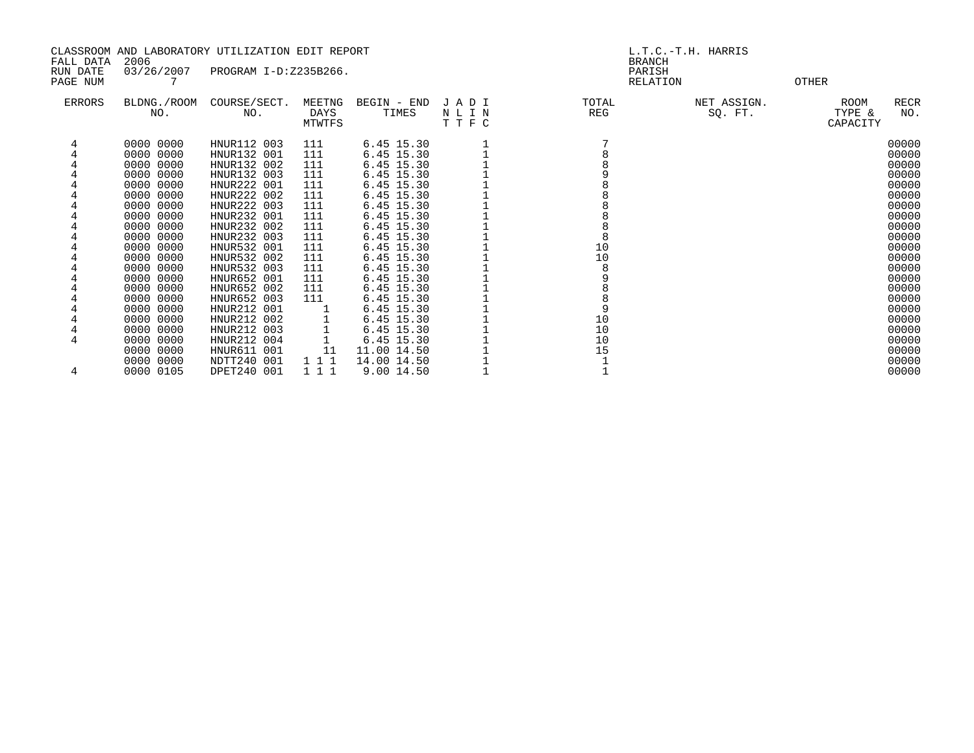|               |                    | CLASSROOM AND LABORATORY UTILIZATION EDIT REPORT |                |             |              | L.T.C.-T.H. HARRIS |             |                       |             |  |
|---------------|--------------------|--------------------------------------------------|----------------|-------------|--------------|--------------------|-------------|-----------------------|-------------|--|
| FALL DATA     | 2006               |                                                  |                |             |              | <b>BRANCH</b>      |             |                       |             |  |
| RUN DATE      | 03/26/2007         | PROGRAM I-D:Z235B266.                            |                |             |              | PARISH             |             |                       |             |  |
| PAGE NUM      |                    |                                                  |                |             |              | RELATION           |             | <b>OTHER</b>          |             |  |
|               |                    |                                                  |                |             |              |                    |             |                       |             |  |
| <b>ERRORS</b> | BLDNG./ROOM<br>NO. | COURSE/SECT.<br>NO.                              | MEETNG<br>DAYS | BEGIN - END | JADI<br>NLIN | TOTAL<br>REG       | NET ASSIGN. | <b>ROOM</b><br>TYPE & | RECR<br>NO. |  |
|               |                    |                                                  | MTWTFS         | TIMES       | TTFC         |                    | SQ. FT.     | CAPACITY              |             |  |
|               |                    |                                                  |                |             |              |                    |             |                       |             |  |
| 4             | 0000 0000          | HNUR112 003                                      | 111            | 6.45 15.30  |              |                    |             |                       | 00000       |  |
|               | 0000 0000          | HNUR132 001                                      | 111            | 6.45 15.30  |              |                    |             |                       | 00000       |  |
|               | 0000 0000          | HNUR132 002                                      | 111            | 6.45 15.30  |              |                    |             |                       | 00000       |  |
|               | 0000 0000          | HNUR132 003                                      | 111            | 6.45 15.30  |              |                    |             |                       | 00000       |  |
|               | 0000 0000          | HNUR222 001                                      | 111            | 6.45 15.30  |              |                    |             |                       | 00000       |  |
|               | 0000 0000          | HNUR222 002                                      | 111            | 6.45 15.30  |              |                    |             |                       | 00000       |  |
|               | 0000 0000          | HNUR222 003                                      | 111            | 6.45 15.30  |              |                    |             |                       | 00000       |  |
|               | 0000 0000          | HNUR232 001                                      | 111            | 6.45 15.30  |              |                    |             |                       | 00000       |  |
|               | 0000 0000          | HNUR232 002                                      | 111            | 6.45 15.30  |              |                    |             |                       | 00000       |  |
|               | 0000 0000          | HNUR232 003                                      | 111            | 6.45 15.30  |              |                    |             |                       | 00000       |  |
|               | 0000 0000          | HNUR532 001                                      | 111            | 6.45 15.30  |              | 10                 |             |                       | 00000       |  |
|               | 0000 0000          | HNUR532 002                                      | 111            | 6.45 15.30  |              | 10                 |             |                       | 00000       |  |
|               | 0000 0000          | HNUR532 003                                      | 111            | 6.45 15.30  |              | 8                  |             |                       | 00000       |  |
|               | 0000 0000          | HNUR652 001                                      | 111            | 6.45 15.30  |              | 9                  |             |                       | 00000       |  |
|               | 0000 0000          | HNUR652 002                                      | 111            | 6.45 15.30  |              |                    |             |                       | 00000       |  |
|               | 0000 0000          | HNUR652 003                                      | 111            | 6.45 15.30  |              |                    |             |                       | 00000       |  |
|               | 0000 0000          | HNUR212 001                                      |                | 6.45 15.30  |              | 9                  |             |                       | 00000       |  |
|               | 0000 0000          | HNUR212 002                                      |                | 6.45 15.30  |              | 10                 |             |                       | 00000       |  |
|               | 0000 0000          | HNUR212 003                                      |                | 6.45 15.30  |              | $10$               |             |                       | 00000       |  |
| 4             | 0000 0000          | HNUR212 004                                      |                | 6.45 15.30  |              | 10                 |             |                       | 00000       |  |
|               | 0000 0000          | HNUR611 001                                      | 11             | 11.00 14.50 |              | 15                 |             |                       | 00000       |  |
|               | 0000 0000          | NDTT240 001                                      | 1 1 1          | 14.00 14.50 |              |                    |             |                       | 00000       |  |
| 4             | 0000 0105          | DPET240 001                                      | 1 1 1          | 9.00 14.50  |              |                    |             |                       | 00000       |  |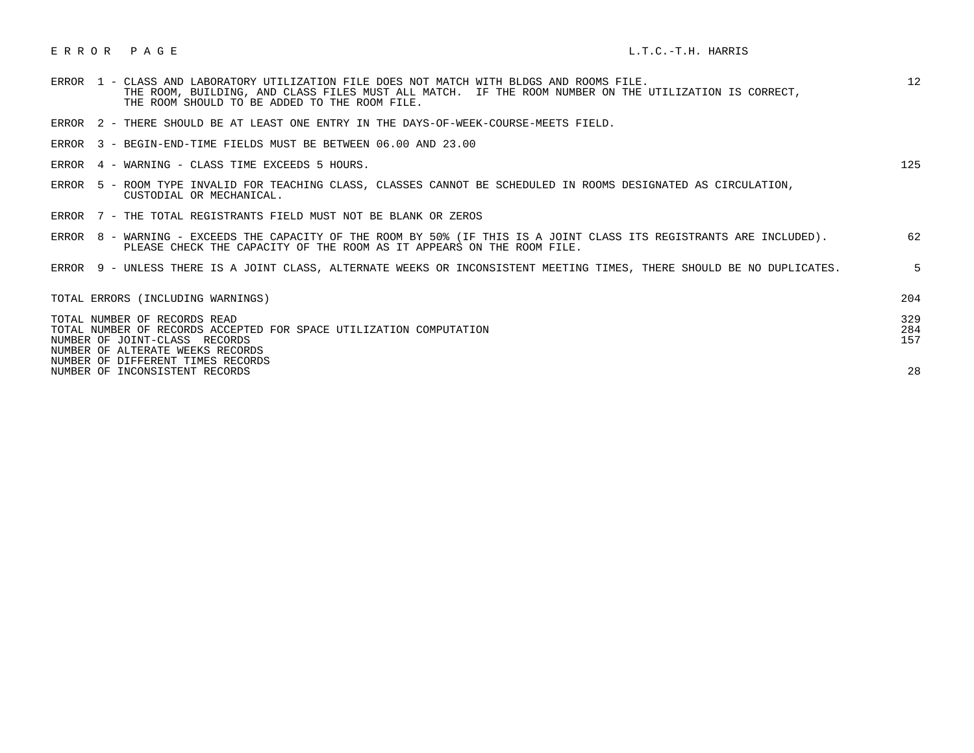# E R R O R P A G E L.T.C.-T.H. HARRIS

| ERROR 1 - CLASS AND LABORATORY UTILIZATION FILE DOES NOT MATCH WITH BLDGS AND ROOMS FILE.<br>THE ROOM, BUILDING, AND CLASS FILES MUST ALL MATCH. IF THE ROOM NUMBER ON THE UTILIZATION IS CORRECT,<br>THE ROOM SHOULD TO BE ADDED TO THE ROOM FILE. | 12                |
|-----------------------------------------------------------------------------------------------------------------------------------------------------------------------------------------------------------------------------------------------------|-------------------|
| ERROR 2 - THERE SHOULD BE AT LEAST ONE ENTRY IN THE DAYS-OF-WEEK-COURSE-MEETS FIELD.                                                                                                                                                                |                   |
| 3 - BEGIN-END-TIME FIELDS MUST BE BETWEEN 06.00 AND 23.00<br>ERROR                                                                                                                                                                                  |                   |
| 4 - WARNING - CLASS TIME EXCEEDS 5 HOURS.<br>ERROR                                                                                                                                                                                                  | 125               |
| 5 - ROOM TYPE INVALID FOR TEACHING CLASS, CLASSES CANNOT BE SCHEDULED IN ROOMS DESIGNATED AS CIRCULATION,<br>ERROR<br>CUSTODIAL OR MECHANICAL.                                                                                                      |                   |
| ERROR 7 - THE TOTAL REGISTRANTS FIELD MUST NOT BE BLANK OR ZEROS                                                                                                                                                                                    |                   |
| ERROR 8 - WARNING - EXCEEDS THE CAPACITY OF THE ROOM BY 50% (IF THIS IS A JOINT CLASS ITS REGISTRANTS ARE INCLUDED).<br>PLEASE CHECK THE CAPACITY OF THE ROOM AS IT APPEARS ON THE ROOM FILE.                                                       | 62                |
| ERROR 9 - UNLESS THERE IS A JOINT CLASS, ALTERNATE WEEKS OR INCONSISTENT MEETING TIMES, THERE SHOULD BE NO DUPLICATES.                                                                                                                              | 5                 |
| TOTAL ERRORS (INCLUDING WARNINGS)                                                                                                                                                                                                                   | 204               |
| TOTAL NUMBER OF RECORDS READ<br>TOTAL NUMBER OF RECORDS ACCEPTED FOR SPACE UTILIZATION COMPUTATION<br>NUMBER OF JOINT-CLASS RECORDS<br>NUMBER OF ALTERATE WEEKS RECORDS<br>NUMBER OF DIFFERENT TIMES RECORDS                                        | 329<br>284<br>157 |
| NUMBER OF INCONSISTENT RECORDS                                                                                                                                                                                                                      | 28                |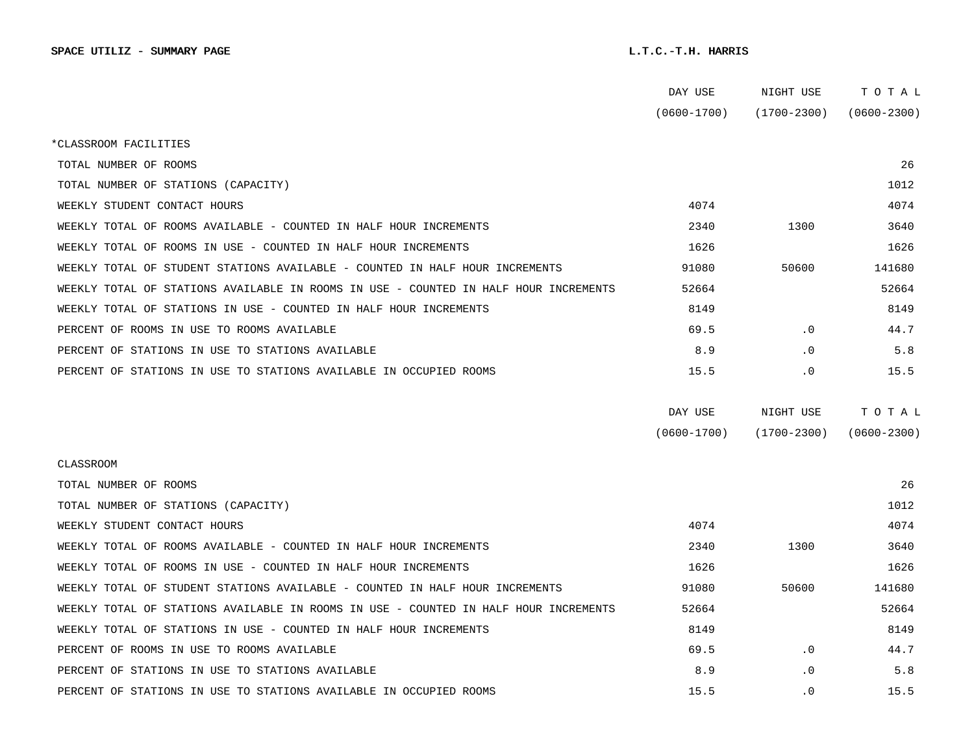|                                                                                      | DAY USE         | NIGHT USE       | TOTAL           |  |
|--------------------------------------------------------------------------------------|-----------------|-----------------|-----------------|--|
|                                                                                      | $(0600 - 1700)$ | (1700-2300)     | $(0600 - 2300)$ |  |
| *CLASSROOM FACILITIES                                                                |                 |                 |                 |  |
| TOTAL NUMBER OF ROOMS                                                                |                 |                 | 26              |  |
| TOTAL NUMBER OF STATIONS (CAPACITY)                                                  |                 |                 | 1012            |  |
| WEEKLY STUDENT CONTACT HOURS                                                         | 4074            |                 | 4074            |  |
| WEEKLY TOTAL OF ROOMS AVAILABLE - COUNTED IN HALF HOUR INCREMENTS                    | 2340            | 1300            | 3640            |  |
| WEEKLY TOTAL OF ROOMS IN USE - COUNTED IN HALF HOUR INCREMENTS                       | 1626            |                 | 1626            |  |
| WEEKLY TOTAL OF STUDENT STATIONS AVAILABLE - COUNTED IN HALF HOUR INCREMENTS         | 91080           | 50600           | 141680          |  |
| WEEKLY TOTAL OF STATIONS AVAILABLE IN ROOMS IN USE - COUNTED IN HALF HOUR INCREMENTS | 52664           |                 | 52664           |  |
| WEEKLY TOTAL OF STATIONS IN USE - COUNTED IN HALF HOUR INCREMENTS                    | 8149            |                 | 8149            |  |
| PERCENT OF ROOMS IN USE TO ROOMS AVAILABLE                                           | 69.5            | $\cdot$ 0       | 44.7            |  |
| PERCENT OF STATIONS IN USE TO STATIONS AVAILABLE                                     | 8.9             | $\cdot$ 0       | 5.8             |  |
| PERCENT OF STATIONS IN USE TO STATIONS AVAILABLE IN OCCUPIED ROOMS                   | 15.5            | . 0             | 15.5            |  |
|                                                                                      |                 |                 |                 |  |
|                                                                                      | DAY USE         | NIGHT USE       | TOTAL           |  |
|                                                                                      | $(0600 - 1700)$ | $(1700 - 2300)$ | $(0600 - 2300)$ |  |
| <b>CLASSROOM</b>                                                                     |                 |                 |                 |  |
| TOTAL NUMBER OF ROOMS                                                                |                 |                 | 26              |  |
| TOTAL NUMBER OF STATIONS (CAPACITY)                                                  |                 |                 | 1012            |  |
| WEEKLY STUDENT CONTACT HOURS                                                         | 4074            |                 | 4074            |  |
| WEEKLY TOTAL OF ROOMS AVAILABLE - COUNTED IN HALF HOUR INCREMENTS                    | 2340            | 1300            | 3640            |  |
| WEEKLY TOTAL OF ROOMS IN USE - COUNTED IN HALF HOUR INCREMENTS                       | 1626            |                 | 1626            |  |
| WEEKLY TOTAL OF STUDENT STATIONS AVAILABLE - COUNTED IN HALF HOUR INCREMENTS         | 91080           | 50600           | 141680          |  |
| WEEKLY TOTAL OF STATIONS AVAILABLE IN ROOMS IN USE - COUNTED IN HALF HOUR INCREMENTS | 52664           |                 | 52664           |  |
| WEEKLY TOTAL OF STATIONS IN USE - COUNTED IN HALF HOUR INCREMENTS                    | 8149            |                 | 8149            |  |
| PERCENT OF ROOMS IN USE TO ROOMS AVAILABLE                                           | 69.5            | $\cdot$ 0       | 44.7            |  |
| PERCENT OF STATIONS IN USE TO STATIONS AVAILABLE                                     | 8.9             | $\cdot$ 0       | 5.8             |  |
| PERCENT OF STATIONS IN USE TO STATIONS AVAILABLE IN OCCUPIED ROOMS                   | 15.5            | $\cdot$ 0       | 15.5            |  |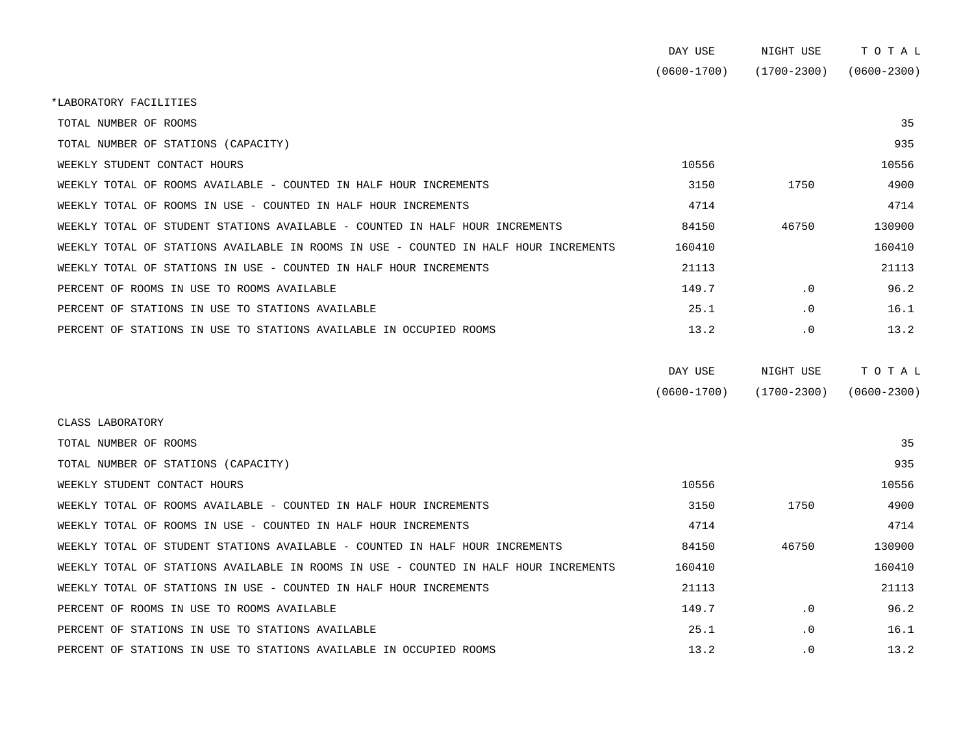|                                                                                      | DAY USE         | NIGHT USE       | TOTAL           |
|--------------------------------------------------------------------------------------|-----------------|-----------------|-----------------|
|                                                                                      | $(0600 - 1700)$ | $(1700 - 2300)$ | $(0600 - 2300)$ |
| *LABORATORY FACILITIES                                                               |                 |                 |                 |
| TOTAL NUMBER OF ROOMS                                                                |                 |                 | 35              |
| TOTAL NUMBER OF STATIONS (CAPACITY)                                                  |                 |                 | 935             |
| WEEKLY STUDENT CONTACT HOURS                                                         | 10556           |                 | 10556           |
| WEEKLY TOTAL OF ROOMS AVAILABLE - COUNTED IN HALF HOUR INCREMENTS                    | 3150            | 1750            | 4900            |
| WEEKLY TOTAL OF ROOMS IN USE - COUNTED IN HALF HOUR INCREMENTS                       | 4714            |                 | 4714            |
| WEEKLY TOTAL OF STUDENT STATIONS AVAILABLE - COUNTED IN HALF HOUR INCREMENTS         | 84150           | 46750           | 130900          |
| WEEKLY TOTAL OF STATIONS AVAILABLE IN ROOMS IN USE - COUNTED IN HALF HOUR INCREMENTS | 160410          |                 | 160410          |
| WEEKLY TOTAL OF STATIONS IN USE - COUNTED IN HALF HOUR INCREMENTS                    | 21113           |                 | 21113           |
| PERCENT OF ROOMS IN USE TO ROOMS AVAILABLE                                           | 149.7           | $\cdot$ 0       | 96.2            |
| PERCENT OF STATIONS IN USE TO STATIONS AVAILABLE                                     | 25.1            | $\cdot$ 0       | 16.1            |
| PERCENT OF STATIONS IN USE TO STATIONS AVAILABLE IN OCCUPIED ROOMS                   | 13.2            | $\cdot$ 0       | 13.2            |
|                                                                                      |                 |                 |                 |

| DAY USE         | NIGHT USE       | T O T A L       |
|-----------------|-----------------|-----------------|
| $(0600 - 1700)$ | $(1700 - 2300)$ | $(0600 - 2300)$ |

| CLASS LABORATORY                                                                     |        |           |        |
|--------------------------------------------------------------------------------------|--------|-----------|--------|
| TOTAL NUMBER OF ROOMS                                                                |        |           | 35     |
| TOTAL NUMBER OF STATIONS (CAPACITY)                                                  |        |           | 935    |
| WEEKLY STUDENT CONTACT HOURS                                                         | 10556  |           | 10556  |
| WEEKLY TOTAL OF ROOMS AVAILABLE - COUNTED IN HALF HOUR INCREMENTS                    | 3150   | 1750      | 4900   |
| WEEKLY TOTAL OF ROOMS IN USE - COUNTED IN HALF HOUR INCREMENTS                       | 4714   |           | 4714   |
| WEEKLY TOTAL OF STUDENT STATIONS AVAILABLE - COUNTED IN HALF HOUR INCREMENTS         | 84150  | 46750     | 130900 |
| WEEKLY TOTAL OF STATIONS AVAILABLE IN ROOMS IN USE - COUNTED IN HALF HOUR INCREMENTS | 160410 |           | 160410 |
| WEEKLY TOTAL OF STATIONS IN USE - COUNTED IN HALF HOUR INCREMENTS                    | 21113  |           | 21113  |
| PERCENT OF ROOMS IN USE TO ROOMS AVAILABLE                                           | 149.7  | $\cdot$ 0 | 96.2   |
| PERCENT OF STATIONS IN USE TO STATIONS AVAILABLE                                     | 25.1   | $\cdot$ 0 | 16.1   |
| PERCENT OF STATIONS IN USE TO STATIONS AVAILABLE IN OCCUPIED ROOMS                   | 13.2   | $\cdot$ 0 | 13.2   |